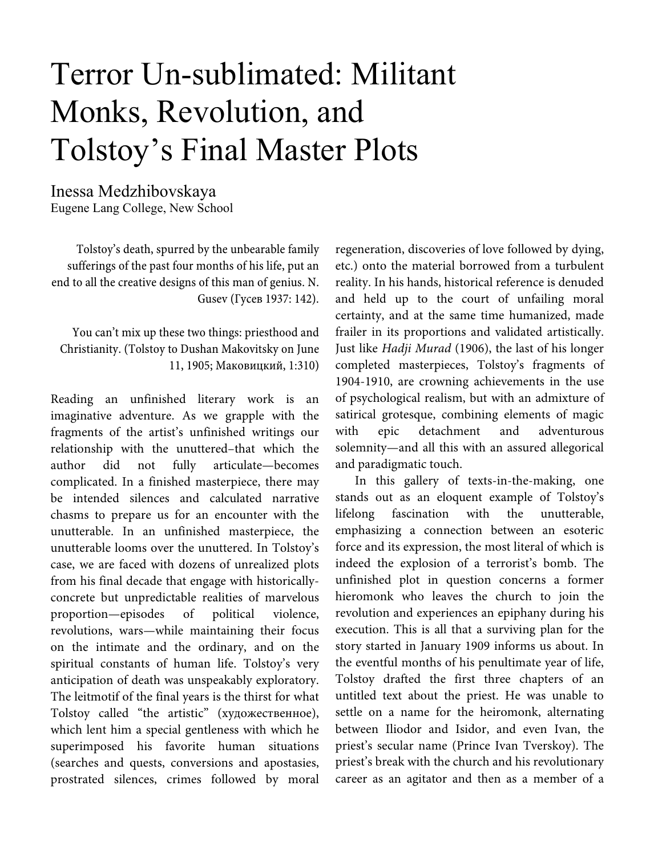# Terror Un-sublimated: Militant Monks, Revolution, and Tolstoy's Final Master Plots

Inessa Medzhibovskaya Eugene Lang College, New School

Tolstoy's death, spurred by the unbearable family sufferings of the past four months of his life, put an end to all the creative designs of this man of genius. N. Gusev (Гусев 1937: 142).

You can't mix up these two things: priesthood and Christianity. (Tolstoy to Dushan Makovitsky on June 11, 1905; Маковицкий, 1:310)

Reading an unfinished literary work is an imaginative adventure. As we grapple with the fragments of the artist's unfinished writings our relationship with the unuttered–that which the author did not fully articulate—becomes complicated. In a finished masterpiece, there may be intended silences and calculated narrative chasms to prepare us for an encounter with the unutterable. In an unfinished masterpiece, the unutterable looms over the unuttered. In Tolstoy's case, we are faced with dozens of unrealized plots from his final decade that engage with historicallyconcrete but unpredictable realities of marvelous proportion—episodes of political violence, revolutions, wars—while maintaining their focus on the intimate and the ordinary, and on the spiritual constants of human life. Tolstoy's very anticipation of death was unspeakably exploratory. The leitmotif of the final years is the thirst for what Tolstoy called "the artistic" (художественное), which lent him a special gentleness with which he superimposed his favorite human situations (searches and quests, conversions and apostasies, prostrated silences, crimes followed by moral

regeneration, discoveries of love followed by dying, etc.) onto the material borrowed from a turbulent reality. In his hands, historical reference is denuded and held up to the court of unfailing moral certainty, and at the same time humanized, made frailer in its proportions and validated artistically. Just like Hadji Murad (1906), the last of his longer completed masterpieces, Tolstoy's fragments of 1904-1910, are crowning achievements in the use of psychological realism, but with an admixture of satirical grotesque, combining elements of magic with epic detachment and adventurous solemnity—and all this with an assured allegorical and paradigmatic touch.

In this gallery of texts-in-the-making, one stands out as an eloquent example of Tolstoy's lifelong fascination with the unutterable, emphasizing a connection between an esoteric force and its expression, the most literal of which is indeed the explosion of a terrorist's bomb. The unfinished plot in question concerns a former hieromonk who leaves the church to join the revolution and experiences an epiphany during his execution. This is all that a surviving plan for the story started in January 1909 informs us about. In the eventful months of his penultimate year of life, Tolstoy drafted the first three chapters of an untitled text about the priest. He was unable to settle on a name for the heiromonk, alternating between Iliodor and Isidor, and even Ivan, the priest's secular name (Prince Ivan Tverskoy). The priest's break with the church and his revolutionary career as an agitator and then as a member of a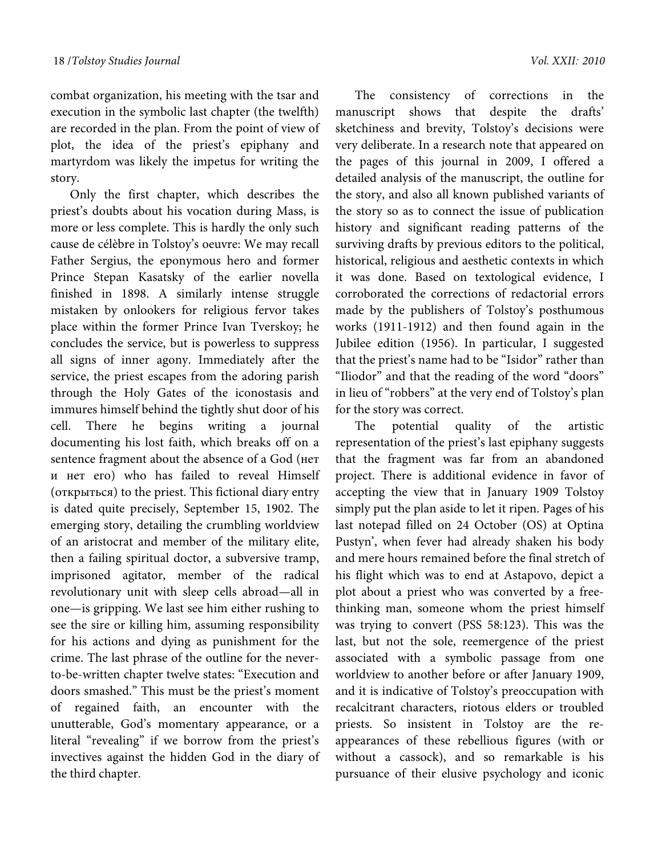combat organization, his meeting with the tsar and execution in the symbolic last chapter (the twelfth) are recorded in the plan. From the point of view of plot, the idea of the priest's epiphany and martyrdom was likely the impetus for writing the story.

Only the first chapter, which describes the priest's doubts about his vocation during Mass, is more or less complete. This is hardly the only such cause de célèbre in Tolstoy's oeuvre: We may recall Father Sergius, the eponymous hero and former Prince Stepan Kasatsky of the earlier novella finished in 1898. A similarly intense struggle mistaken by onlookers for religious fervor takes place within the former Prince Ivan Tverskoy; he concludes the service, but is powerless to suppress all signs of inner agony. Immediately after the service, the priest escapes from the adoring parish through the Holy Gates of the iconostasis and immures himself behind the tightly shut door of his cell. There he begins writing a journal documenting his lost faith, which breaks off on a sentence fragment about the absence of a God (нет и нет его) who has failed to reveal Himself (открыться) to the priest. This fictional diary entry is dated quite precisely, September 15, 1902. The emerging story, detailing the crumbling worldview of an aristocrat and member of the military elite, then a failing spiritual doctor, a subversive tramp, imprisoned agitator, member of the radical revolutionary unit with sleep cells abroad—all in one—is gripping. We last see him either rushing to see the sire or killing him, assuming responsibility for his actions and dying as punishment for the crime. The last phrase of the outline for the neverto-be-written chapter twelve states: "Execution and doors smashed." This must be the priest's moment of regained faith, an encounter with the unutterable, God's momentary appearance, or a literal "revealing" if we borrow from the priest's invectives against the hidden God in the diary of the third chapter.

The consistency of corrections in the manuscript shows that despite the drafts' sketchiness and brevity, Tolstoy's decisions were very deliberate. In a research note that appeared on the pages of this journal in 2009, I offered a detailed analysis of the manuscript, the outline for the story, and also all known published variants of the story so as to connect the issue of publication history and significant reading patterns of the surviving drafts by previous editors to the political, historical, religious and aesthetic contexts in which it was done. Based on textological evidence, I corroborated the corrections of redactorial errors made by the publishers of Tolstoy's posthumous works (1911-1912) and then found again in the Jubilee edition (1956). In particular, I suggested that the priest's name had to be "Isidor" rather than "Iliodor" and that the reading of the word "doors" in lieu of "robbers" at the very end of Tolstoy's plan for the story was correct.

The potential quality of the artistic representation of the priest's last epiphany suggests that the fragment was far from an abandoned project. There is additional evidence in favor of accepting the view that in January 1909 Tolstoy simply put the plan aside to let it ripen. Pages of his last notepad filled on 24 October (OS) at Optina Pustyn', when fever had already shaken his body and mere hours remained before the final stretch of his flight which was to end at Astapovo, depict a plot about a priest who was converted by a freethinking man, someone whom the priest himself was trying to convert (PSS 58:123). This was the last, but not the sole, reemergence of the priest associated with a symbolic passage from one worldview to another before or after January 1909, and it is indicative of Tolstoy's preoccupation with recalcitrant characters, riotous elders or troubled priests. So insistent in Tolstoy are the reappearances of these rebellious figures (with or without a cassock), and so remarkable is his pursuance of their elusive psychology and iconic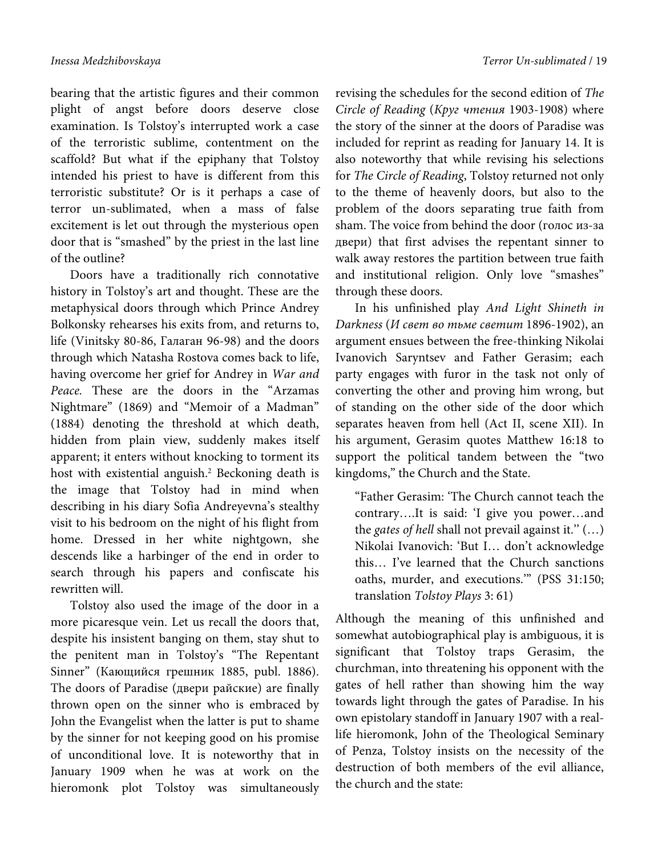bearing that the artistic figures and their common plight of angst before doors deserve close examination. Is Tolstoy's interrupted work a case of the terroristic sublime, contentment on the scaffold? But what if the epiphany that Tolstoy intended his priest to have is different from this terroristic substitute? Or is it perhaps a case of terror un-sublimated, when a mass of false excitement is let out through the mysterious open door that is "smashed" by the priest in the last line of the outline?

Doors have a traditionally rich connotative history in Tolstoy's art and thought. These are the metaphysical doors through which Prince Andrey Bolkonsky rehearses his exits from, and returns to, life (Vinitsky 80-86, Галаган 96-98) and the doors through which Natasha Rostova comes back to life, having overcome her grief for Andrey in War and Peace. These are the doors in the "Arzamas Nightmare" (1869) and "Memoir of a Madman" (1884) denoting the threshold at which death, hidden from plain view, suddenly makes itself apparent; it enters without knocking to torment its host with existential anguish.<sup>2</sup> Beckoning death is the image that Tolstoy had in mind when describing in his diary Sofia Andreyevna's stealthy visit to his bedroom on the night of his flight from home. Dressed in her white nightgown, she descends like a harbinger of the end in order to search through his papers and confiscate his rewritten will.

Tolstoy also used the image of the door in a more picaresque vein. Let us recall the doors that, despite his insistent banging on them, stay shut to the penitent man in Tolstoy's "The Repentant Sinner" (Кающийся грешник 1885, publ. 1886). The doors of Paradise (двери райские) are finally thrown open on the sinner who is embraced by John the Evangelist when the latter is put to shame by the sinner for not keeping good on his promise of unconditional love. It is noteworthy that in January 1909 when he was at work on the hieromonk plot Tolstoy was simultaneously revising the schedules for the second edition of The Circle of Reading (Круг чтения 1903-1908) where the story of the sinner at the doors of Paradise was included for reprint as reading for January 14. It is also noteworthy that while revising his selections for The Circle of Reading, Tolstoy returned not only to the theme of heavenly doors, but also to the problem of the doors separating true faith from sham. The voice from behind the door (голос из-за двери) that first advises the repentant sinner to walk away restores the partition between true faith and institutional religion. Only love "smashes" through these doors.

In his unfinished play And Light Shineth in Darkness (И свет во тьме светит 1896-1902), an argument ensues between the free-thinking Nikolai Ivanovich Saryntsev and Father Gerasim; each party engages with furor in the task not only of converting the other and proving him wrong, but of standing on the other side of the door which separates heaven from hell (Act II, scene XII). In his argument, Gerasim quotes Matthew 16:18 to support the political tandem between the "two kingdoms," the Church and the State.

"Father Gerasim: 'The Church cannot teach the contrary….It is said: 'I give you power…and the gates of hell shall not prevail against it." (...) Nikolai Ivanovich: 'But I… don't acknowledge this… I've learned that the Church sanctions oaths, murder, and executions.'" (PSS 31:150; translation Tolstoy Plays 3: 61)

Although the meaning of this unfinished and somewhat autobiographical play is ambiguous, it is significant that Tolstoy traps Gerasim, the churchman, into threatening his opponent with the gates of hell rather than showing him the way towards light through the gates of Paradise. In his own epistolary standoff in January 1907 with a reallife hieromonk, John of the Theological Seminary of Penza, Tolstoy insists on the necessity of the destruction of both members of the evil alliance, the church and the state: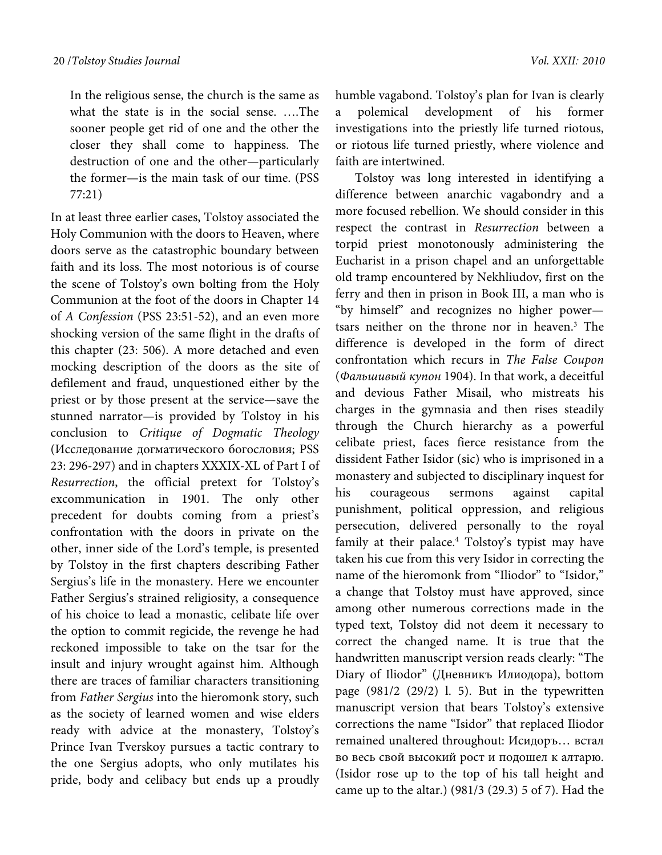In the religious sense, the church is the same as what the state is in the social sense. ….The sooner people get rid of one and the other the closer they shall come to happiness. The destruction of one and the other—particularly the former—is the main task of our time. (PSS 77:21)

In at least three earlier cases, Tolstoy associated the Holy Communion with the doors to Heaven, where doors serve as the catastrophic boundary between faith and its loss. The most notorious is of course the scene of Tolstoy's own bolting from the Holy Communion at the foot of the doors in Chapter 14 of A Confession (PSS 23:51-52), and an even more shocking version of the same flight in the drafts of this chapter (23: 506). A more detached and even mocking description of the doors as the site of defilement and fraud, unquestioned either by the priest or by those present at the service—save the stunned narrator—is provided by Tolstoy in his conclusion to Critique of Dogmatic Theology (Исследованиe догматического богословия; PSS 23: 296-297) and in chapters XXXIX-XL of Part I of Resurrection, the official pretext for Tolstoy's excommunication in 1901. The only other precedent for doubts coming from a priest's confrontation with the doors in private on the other, inner side of the Lord's temple, is presented by Tolstoy in the first chapters describing Father Sergius's life in the monastery. Here we encounter Father Sergius's strained religiosity, a consequence of his choice to lead a monastic, celibate life over the option to commit regicide, the revenge he had reckoned impossible to take on the tsar for the insult and injury wrought against him. Although there are traces of familiar characters transitioning from Father Sergius into the hieromonk story, such as the society of learned women and wise elders ready with advice at the monastery, Tolstoy's Prince Ivan Tverskoy pursues a tactic contrary to the one Sergius adopts, who only mutilates his pride, body and celibacy but ends up a proudly

humble vagabond. Tolstoy's plan for Ivan is clearly a polemical development of his former investigations into the priestly life turned riotous, or riotous life turned priestly, where violence and faith are intertwined.

Tolstoy was long interested in identifying a difference between anarchic vagabondry and a more focused rebellion. We should consider in this respect the contrast in Resurrection between a torpid priest monotonously administering the Eucharist in a prison chapel and an unforgettable old tramp encountered by Nekhliudov, first on the ferry and then in prison in Book III, a man who is "by himself" and recognizes no higher power tsars neither on the throne nor in heaven.3 The difference is developed in the form of direct confrontation which recurs in The False Coupon (Фальшивый купон 1904). In that work, a deceitful and devious Father Misail, who mistreats his charges in the gymnasia and then rises steadily through the Church hierarchy as a powerful celibate priest, faces fierce resistance from the dissident Father Isidor (sic) who is imprisoned in a monastery and subjected to disciplinary inquest for his courageous sermons against capital punishment, political oppression, and religious persecution, delivered personally to the royal family at their palace.<sup>4</sup> Tolstoy's typist may have taken his cue from this very Isidor in correcting the name of the hieromonk from "Iliodor" to "Isidor," a change that Tolstoy must have approved, since among other numerous corrections made in the typed text, Tolstoy did not deem it necessary to correct the changed name. It is true that the handwritten manuscript version reads clearly: "The Diary of Iliodor" (Дневникъ Илиодора), bottom page (981/2 (29/2) l. 5). But in the typewritten manuscript version that bears Tolstoy's extensive corrections the name "Isidor" that replaced Iliodor remained unaltered throughout: Исидоръ… встал во весь свой высокий рост и подошел к алтарю. (Isidor rose up to the top of his tall height and came up to the altar.) (981/3 (29.3) 5 of 7). Had the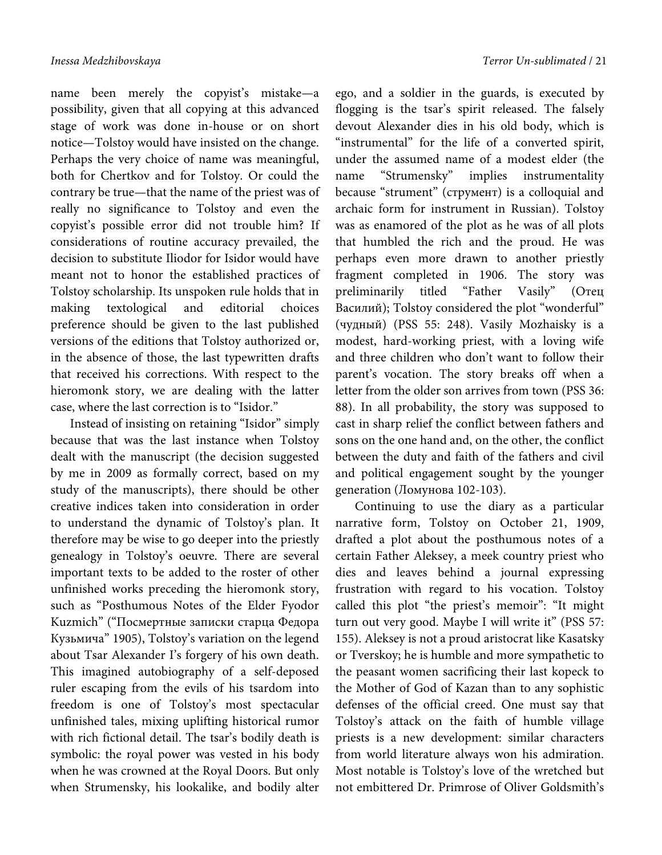name been merely the copyist's mistake—a possibility, given that all copying at this advanced stage of work was done in-house or on short notice—Tolstoy would have insisted on the change. Perhaps the very choice of name was meaningful, both for Chertkov and for Tolstoy. Or could the contrary be true—that the name of the priest was of really no significance to Tolstoy and even the copyist's possible error did not trouble him? If considerations of routine accuracy prevailed, the decision to substitute Iliodor for Isidor would have meant not to honor the established practices of Tolstoy scholarship. Its unspoken rule holds that in making textological and editorial choices preference should be given to the last published versions of the editions that Tolstoy authorized or, in the absence of those, the last typewritten drafts that received his corrections. With respect to the hieromonk story, we are dealing with the latter case, where the last correction is to "Isidor."

Instead of insisting on retaining "Isidor" simply because that was the last instance when Tolstoy dealt with the manuscript (the decision suggested by me in 2009 as formally correct, based on my study of the manuscripts), there should be other creative indices taken into consideration in order to understand the dynamic of Tolstoy's plan. It therefore may be wise to go deeper into the priestly genealogy in Tolstoy's oeuvre. There are several important texts to be added to the roster of other unfinished works preceding the hieromonk story, such as "Posthumous Notes of the Elder Fyodor Kuzmich" ("Посмертные записки старца Федора Кузьмича" 1905), Tolstoy's variation on the legend about Tsar Alexander I's forgery of his own death. This imagined autobiography of a self-deposed ruler escaping from the evils of his tsardom into freedom is one of Tolstoy's most spectacular unfinished tales, mixing uplifting historical rumor with rich fictional detail. The tsar's bodily death is symbolic: the royal power was vested in his body when he was crowned at the Royal Doors. But only when Strumensky, his lookalike, and bodily alter

ego, and a soldier in the guards, is executed by flogging is the tsar's spirit released. The falsely devout Alexander dies in his old body, which is "instrumental" for the life of a converted spirit, under the assumed name of a modest elder (the name "Strumensky" implies instrumentality because "strument" (струмент) is a colloquial and archaic form for instrument in Russian). Tolstoy was as enamored of the plot as he was of all plots that humbled the rich and the proud. He was perhaps even more drawn to another priestly fragment completed in 1906. The story was preliminarily titled "Father Vasily" (Отец Василий); Tolstoy considered the plot "wonderful" (чудный) (PSS 55: 248). Vasily Mozhaisky is a modest, hard-working priest, with a loving wife and three children who don't want to follow their parent's vocation. The story breaks off when a letter from the older son arrives from town (PSS 36: 88). In all probability, the story was supposed to cast in sharp relief the conflict between fathers and sons on the one hand and, on the other, the conflict between the duty and faith of the fathers and civil and political engagement sought by the younger generation (Ломунова 102-103).

Continuing to use the diary as a particular narrative form, Tolstoy on October 21, 1909, drafted a plot about the posthumous notes of a certain Father Aleksey, a meek country priest who dies and leaves behind a journal expressing frustration with regard to his vocation. Tolstoy called this plot "the priest's memoir": "It might turn out very good. Maybe I will write it" (PSS 57: 155). Aleksey is not a proud aristocrat like Kasatsky or Tverskoy; he is humble and more sympathetic to the peasant women sacrificing their last kopeck to the Mother of God of Kazan than to any sophistic defenses of the official creed. One must say that Tolstoy's attack on the faith of humble village priests is a new development: similar characters from world literature always won his admiration. Most notable is Tolstoy's love of the wretched but not embittered Dr. Primrose of Oliver Goldsmith's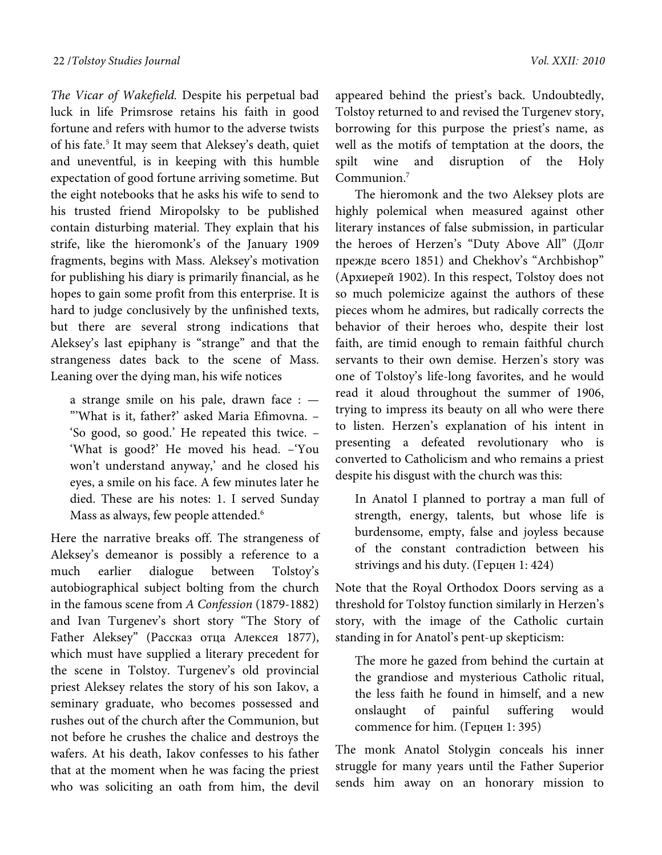The Vicar of Wakefield. Despite his perpetual bad luck in life Primsrose retains his faith in good fortune and refers with humor to the adverse twists of his fate.<sup>5</sup> It may seem that Aleksey's death, quiet and uneventful, is in keeping with this humble expectation of good fortune arriving sometime. But the eight notebooks that he asks his wife to send to his trusted friend Miropolsky to be published contain disturbing material. They explain that his strife, like the hieromonk's of the January 1909 fragments, begins with Mass. Aleksey's motivation for publishing his diary is primarily financial, as he hopes to gain some profit from this enterprise. It is hard to judge conclusively by the unfinished texts, but there are several strong indications that Aleksey's last epiphany is "strange" and that the strangeness dates back to the scene of Mass. Leaning over the dying man, his wife notices

a strange smile on his pale, drawn face : — "'What is it, father?' asked Maria Efimovna. – 'So good, so good.' He repeated this twice. – 'What is good?' He moved his head. –'You won't understand anyway,' and he closed his eyes, a smile on his face. A few minutes later he died. These are his notes: 1. I served Sunday Mass as always, few people attended.<sup>6</sup>

Here the narrative breaks off. The strangeness of Aleksey's demeanor is possibly a reference to a much earlier dialogue between Tolstoy's autobiographical subject bolting from the church in the famous scene from A Confession (1879-1882) and Ivan Turgenev's short story "The Story of Father Aleksey" (Рассказ отца Алексея 1877), which must have supplied a literary precedent for the scene in Tolstoy. Turgenev's old provincial priest Aleksey relates the story of his son Iakov, a seminary graduate, who becomes possessed and rushes out of the church after the Communion, but not before he crushes the chalice and destroys the wafers. At his death, Iakov confesses to his father that at the moment when he was facing the priest who was soliciting an oath from him, the devil

appeared behind the priest's back. Undoubtedly, Tolstoy returned to and revised the Turgenev story, borrowing for this purpose the priest's name, as well as the motifs of temptation at the doors, the spilt wine and disruption of the Holy Communion.7

The hieromonk and the two Aleksey plots are highly polemical when measured against other literary instances of false submission, in particular the heroes of Herzen's "Duty Above All" (Долг прежде всего 1851) and Chekhov's "Archbishop" (Архиерей 1902). In this respect, Tolstoy does not so much polemicize against the authors of these pieces whom he admires, but radically corrects the behavior of their heroes who, despite their lost faith, are timid enough to remain faithful church servants to their own demise. Herzen's story was one of Tolstoy's life-long favorites, and he would read it aloud throughout the summer of 1906, trying to impress its beauty on all who were there to listen. Herzen's explanation of his intent in presenting a defeated revolutionary who is converted to Catholicism and who remains a priest despite his disgust with the church was this:

In Anatol I planned to portray a man full of strength, energy, talents, but whose life is burdensome, empty, false and joyless because of the constant contradiction between his strivings and his duty. (Герцен 1: 424)

Note that the Royal Orthodox Doors serving as a threshold for Tolstoy function similarly in Herzen's story, with the image of the Catholic curtain standing in for Anatol's pent-up skepticism:

The more he gazed from behind the curtain at the grandiose and mysterious Catholic ritual, the less faith he found in himself, and a new onslaught of painful suffering would commence for him. (Герцен 1: 395)

The monk Anatol Stolygin conceals his inner struggle for many years until the Father Superior sends him away on an honorary mission to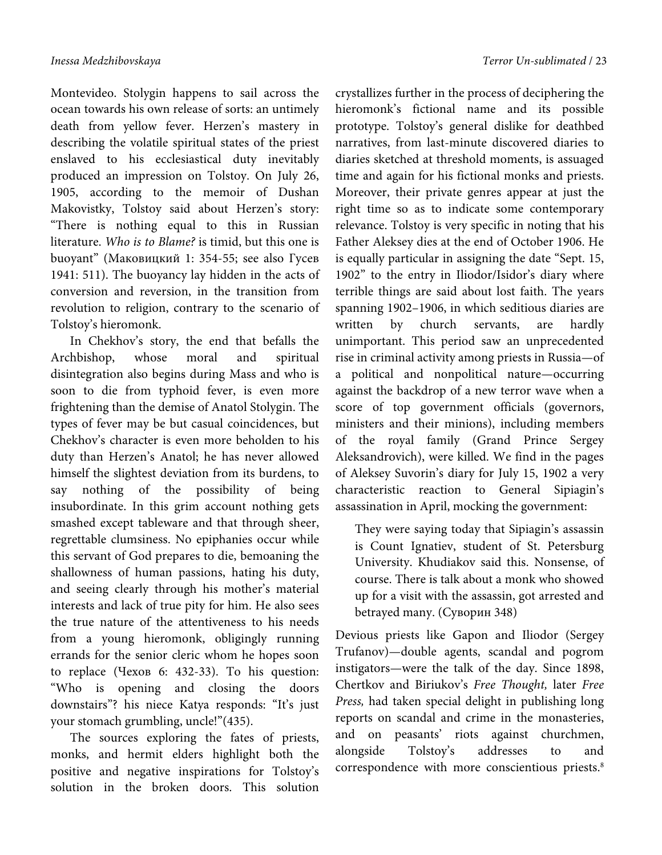Montevideo. Stolygin happens to sail across the ocean towards his own release of sorts: an untimely death from yellow fever. Herzen's mastery in describing the volatile spiritual states of the priest enslaved to his ecclesiastical duty inevitably produced an impression on Tolstoy. On July 26, 1905, according to the memoir of Dushan Makovistky, Tolstoy said about Herzen's story: "There is nothing equal to this in Russian literature. Who is to Blame? is timid, but this one is buoyant" (Маковицкий 1: 354-55; see also Гусев 1941: 511). The buoyancy lay hidden in the acts of conversion and reversion, in the transition from revolution to religion, contrary to the scenario of Tolstoy's hieromonk.

In Chekhov's story, the end that befalls the Archbishop, whose moral and spiritual disintegration also begins during Mass and who is soon to die from typhoid fever, is even more frightening than the demise of Anatol Stolygin. The types of fever may be but casual coincidences, but Chekhov's character is even more beholden to his duty than Herzen's Anatol; he has never allowed himself the slightest deviation from its burdens, to say nothing of the possibility of being insubordinate. In this grim account nothing gets smashed except tableware and that through sheer, regrettable clumsiness. No epiphanies occur while this servant of God prepares to die, bemoaning the shallowness of human passions, hating his duty, and seeing clearly through his mother's material interests and lack of true pity for him. He also sees the true nature of the attentiveness to his needs from a young hieromonk, obligingly running errands for the senior cleric whom he hopes soon to replace (Чехов 6: 432-33). To his question: "Who is opening and closing the doors downstairs"? his niece Katya responds: "It's just your stomach grumbling, uncle!"(435).

The sources exploring the fates of priests, monks, and hermit elders highlight both the positive and negative inspirations for Tolstoy's solution in the broken doors. This solution

crystallizes further in the process of deciphering the hieromonk's fictional name and its possible prototype. Tolstoy's general dislike for deathbed narratives, from last-minute discovered diaries to diaries sketched at threshold moments, is assuaged time and again for his fictional monks and priests. Moreover, their private genres appear at just the right time so as to indicate some contemporary relevance. Tolstoy is very specific in noting that his Father Aleksey dies at the end of October 1906. He is equally particular in assigning the date "Sept. 15, 1902" to the entry in Iliodor/Isidor's diary where terrible things are said about lost faith. The years spanning 1902–1906, in which seditious diaries are written by church servants, are hardly unimportant. This period saw an unprecedented rise in criminal activity among priests in Russia—of a political and nonpolitical nature—occurring against the backdrop of a new terror wave when a score of top government officials (governors, ministers and their minions), including members of the royal family (Grand Prince Sergey Aleksandrovich), were killed. We find in the pages of Aleksey Suvorin's diary for July 15, 1902 a very characteristic reaction to General Sipiagin's assassination in April, mocking the government:

They were saying today that Sipiagin's assassin is Count Ignatiev, student of St. Petersburg University. Khudiakov said this. Nonsense, of course. There is talk about a monk who showed up for a visit with the assassin, got arrested and betrayed many. (Суворин 348)

Devious priests like Gapon and Iliodor (Sergey Trufanov)—double agents, scandal and pogrom instigators—were the talk of the day. Since 1898, Chertkov and Biriukov's Free Thought, later Free Press, had taken special delight in publishing long reports on scandal and crime in the monasteries, and on peasants' riots against churchmen, alongside Tolstoy's addresses to and correspondence with more conscientious priests.<sup>8</sup>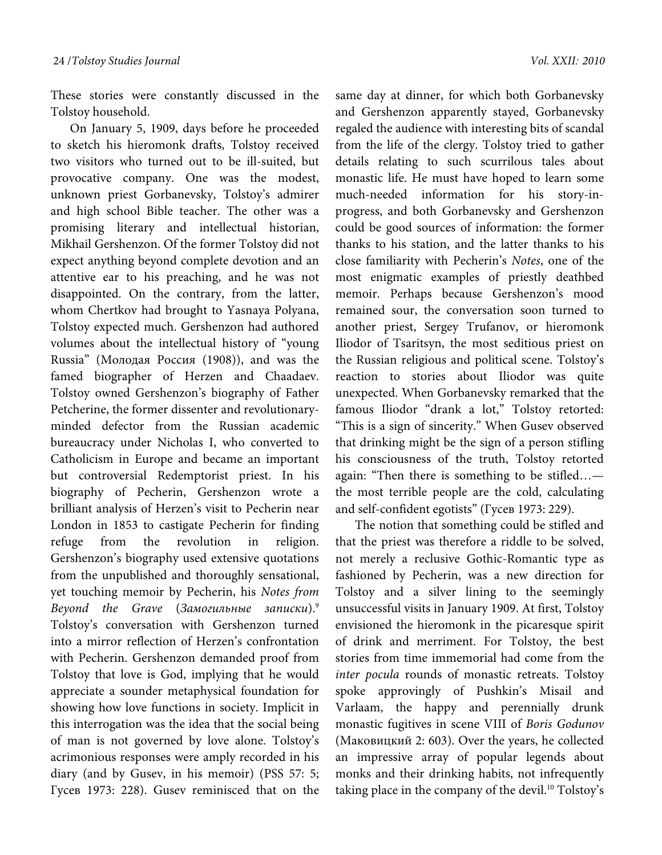These stories were constantly discussed in the Tolstoy household.

On January 5, 1909, days before he proceeded to sketch his hieromonk drafts, Tolstoy received two visitors who turned out to be ill-suited, but provocative company. One was the modest, unknown priest Gorbanevsky, Tolstoy's admirer and high school Bible teacher. The other was a promising literary and intellectual historian, Mikhail Gershenzon. Of the former Tolstoy did not expect anything beyond complete devotion and an attentive ear to his preaching, and he was not disappointed. On the contrary, from the latter, whom Chertkov had brought to Yasnaya Polyana, Tolstoy expected much. Gershenzon had authored volumes about the intellectual history of "young Russia" (Молодая Россия (1908)), and was the famed biographer of Herzen and Chaadaev. Tolstoy owned Gershenzon's biography of Father Petcherine, the former dissenter and revolutionaryminded defector from the Russian academic bureaucracy under Nicholas I, who converted to Catholicism in Europe and became an important but controversial Redemptorist priest. In his biography of Pecherin, Gershenzon wrote a brilliant analysis of Herzen's visit to Pecherin near London in 1853 to castigate Pecherin for finding refuge from the revolution in religion. Gershenzon's biography used extensive quotations from the unpublished and thoroughly sensational, yet touching memoir by Pecherin, his Notes from Beyond the Grave  $(3a$ могильные записки).<sup>9</sup> Tolstoy's conversation with Gershenzon turned into a mirror reflection of Herzen's confrontation with Pecherin. Gershenzon demanded proof from Tolstoy that love is God, implying that he would appreciate a sounder metaphysical foundation for showing how love functions in society. Implicit in this interrogation was the idea that the social being of man is not governed by love alone. Tolstoy's acrimonious responses were amply recorded in his diary (and by Gusev, in his memoir) (PSS 57: 5; Гусев 1973: 228). Gusev reminisced that on the

same day at dinner, for which both Gorbanevsky and Gershenzon apparently stayed, Gorbanevsky regaled the audience with interesting bits of scandal from the life of the clergy. Tolstoy tried to gather details relating to such scurrilous tales about monastic life. He must have hoped to learn some much-needed information for his story-inprogress, and both Gorbanevsky and Gershenzon could be good sources of information: the former thanks to his station, and the latter thanks to his close familiarity with Pecherin's Notes, one of the most enigmatic examples of priestly deathbed memoir. Perhaps because Gershenzon's mood remained sour, the conversation soon turned to another priest, Sergey Trufanov, or hieromonk Iliodor of Tsaritsyn, the most seditious priest on the Russian religious and political scene. Tolstoy's reaction to stories about Iliodor was quite unexpected. When Gorbanevsky remarked that the famous Iliodor "drank a lot," Tolstoy retorted: "This is a sign of sincerity." When Gusev observed that drinking might be the sign of a person stifling his consciousness of the truth, Tolstoy retorted again: "Then there is something to be stifled… the most terrible people are the cold, calculating and self-confident egotists" (Гусев 1973: 229).

The notion that something could be stifled and that the priest was therefore a riddle to be solved, not merely a reclusive Gothic-Romantic type as fashioned by Pecherin, was a new direction for Tolstoy and a silver lining to the seemingly unsuccessful visits in January 1909. At first, Tolstoy envisioned the hieromonk in the picaresque spirit of drink and merriment. For Tolstoy, the best stories from time immemorial had come from the inter pocula rounds of monastic retreats. Tolstoy spoke approvingly of Pushkin's Misail and Varlaam, the happy and perennially drunk monastic fugitives in scene VIII of Boris Godunov (Маковицкий 2: 603). Over the years, he collected an impressive array of popular legends about monks and their drinking habits, not infrequently taking place in the company of the devil.<sup>10</sup> Tolstoy's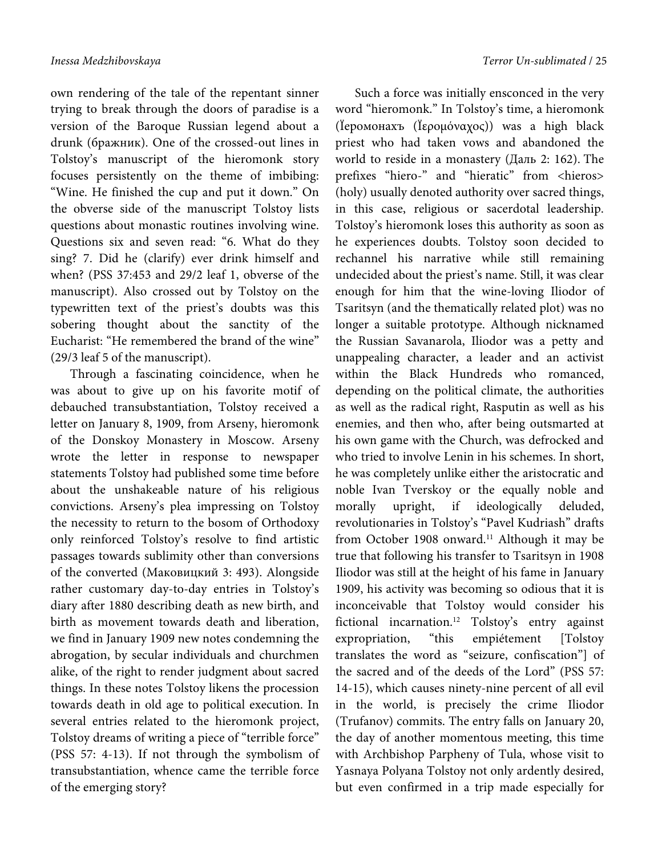own rendering of the tale of the repentant sinner trying to break through the doors of paradise is a version of the Baroque Russian legend about a drunk (бражник). One of the crossed-out lines in Tolstoy's manuscript of the hieromonk story focuses persistently on the theme of imbibing: "Wine. He finished the cup and put it down." On the obverse side of the manuscript Tolstoy lists questions about monastic routines involving wine. Questions six and seven read: "6. What do they sing? 7. Did he (clarify) ever drink himself and when? (PSS 37:453 and 29/2 leaf 1, obverse of the manuscript). Also crossed out by Tolstoy on the typewritten text of the priest's doubts was this sobering thought about the sanctity of the Eucharist: "He remembered the brand of the wine" (29/3 leaf 5 of the manuscript).

Through a fascinating coincidence, when he was about to give up on his favorite motif of debauched transubstantiation, Tolstoy received a letter on January 8, 1909, from Arseny, hieromonk of the Donskoy Monastery in Moscow. Arseny wrote the letter in response to newspaper statements Tolstoy had published some time before about the unshakeable nature of his religious convictions. Arseny's plea impressing on Tolstoy the necessity to return to the bosom of Orthodoxy only reinforced Tolstoy's resolve to find artistic passages towards sublimity other than conversions of the converted (Маковицкий 3: 493). Alongside rather customary day-to-day entries in Tolstoy's diary after 1880 describing death as new birth, and birth as movement towards death and liberation, we find in January 1909 new notes condemning the abrogation, by secular individuals and churchmen alike, of the right to render judgment about sacred things. In these notes Tolstoy likens the procession towards death in old age to political execution. In several entries related to the hieromonk project, Tolstoy dreams of writing a piece of "terrible force" (PSS 57: 4-13). If not through the symbolism of transubstantiation, whence came the terrible force of the emerging story?

Such a force was initially ensconced in the very word "hieromonk." In Tolstoy's time, a hieromonk (Ïеромонахъ (Ïερομόναχος)) was a high black priest who had taken vows and abandoned the world to reside in a monastery (Даль 2: 162). The prefixes "hiero-" and "hieratic" from <hieros> (holy) usually denoted authority over sacred things, in this case, religious or sacerdotal leadership. Tolstoy's hieromonk loses this authority as soon as he experiences doubts. Tolstoy soon decided to rechannel his narrative while still remaining undecided about the priest's name. Still, it was clear enough for him that the wine-loving Iliodor of Tsaritsyn (and the thematically related plot) was no longer a suitable prototype. Although nicknamed the Russian Savanarola, Iliodor was a petty and unappealing character, a leader and an activist within the Black Hundreds who romanced, depending on the political climate, the authorities as well as the radical right, Rasputin as well as his enemies, and then who, after being outsmarted at his own game with the Church, was defrocked and who tried to involve Lenin in his schemes. In short, he was completely unlike either the aristocratic and noble Ivan Tverskoy or the equally noble and morally upright, if ideologically deluded, revolutionaries in Tolstoy's "Pavel Kudriash" drafts from October 1908 onward.<sup>11</sup> Although it may be true that following his transfer to Tsaritsyn in 1908 Iliodor was still at the height of his fame in January 1909, his activity was becoming so odious that it is inconceivable that Tolstoy would consider his fictional incarnation.<sup>12</sup> Tolstoy's entry against expropriation, "this empiétement [Tolstoy translates the word as "seizure, confiscation"] of the sacred and of the deeds of the Lord" (PSS 57: 14-15), which causes ninety-nine percent of all evil in the world, is precisely the crime Iliodor (Trufanov) commits. The entry falls on January 20, the day of another momentous meeting, this time with Archbishop Parpheny of Tula, whose visit to Yasnaya Polyana Tolstoy not only ardently desired, but even confirmed in a trip made especially for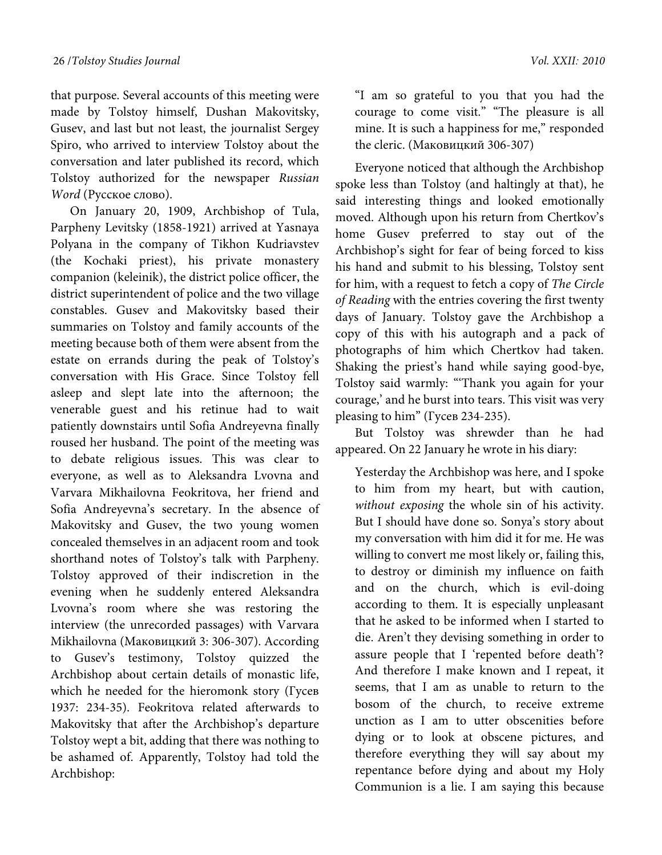that purpose. Several accounts of this meeting were made by Tolstoy himself, Dushan Makovitsky, Gusev, and last but not least, the journalist Sergey Spiro, who arrived to interview Tolstoy about the conversation and later published its record, which Tolstoy authorized for the newspaper Russian Word (Русское слово).

On January 20, 1909, Archbishop of Tula, Parpheny Levitsky (1858-1921) arrived at Yasnaya Polyana in the company of Tikhon Kudriavstev (the Kochaki priest), his private monastery companion (keleinik), the district police officer, the district superintendent of police and the two village constables. Gusev and Makovitsky based their summaries on Tolstoy and family accounts of the meeting because both of them were absent from the estate on errands during the peak of Tolstoy's conversation with His Grace. Since Tolstoy fell asleep and slept late into the afternoon; the venerable guest and his retinue had to wait patiently downstairs until Sofia Andreyevna finally roused her husband. The point of the meeting was to debate religious issues. This was clear to everyone, as well as to Aleksandra Lvovna and Varvara Mikhailovna Feokritova, her friend and Sofia Andreyevna's secretary. In the absence of Makovitsky and Gusev, the two young women concealed themselves in an adjacent room and took shorthand notes of Tolstoy's talk with Parpheny. Tolstoy approved of their indiscretion in the evening when he suddenly entered Aleksandra Lvovna's room where she was restoring the interview (the unrecorded passages) with Varvara Mikhailovna (Маковицкий 3: 306-307). According to Gusev's testimony, Tolstoy quizzed the Archbishop about certain details of monastic life, which he needed for the hieromonk story (Гусев 1937: 234-35). Feokritova related afterwards to Makovitsky that after the Archbishop's departure Tolstoy wept a bit, adding that there was nothing to be ashamed of. Apparently, Tolstoy had told the Archbishop:

"I am so grateful to you that you had the courage to come visit." "The pleasure is all mine. It is such a happiness for me," responded the cleric. (Маковицкий 306-307)

Everyone noticed that although the Archbishop spoke less than Tolstoy (and haltingly at that), he said interesting things and looked emotionally moved. Although upon his return from Chertkov's home Gusev preferred to stay out of the Archbishop's sight for fear of being forced to kiss his hand and submit to his blessing, Tolstoy sent for him, with a request to fetch a copy of The Circle of Reading with the entries covering the first twenty days of January. Tolstoy gave the Archbishop a copy of this with his autograph and a pack of photographs of him which Chertkov had taken. Shaking the priest's hand while saying good-bye, Tolstoy said warmly: "'Thank you again for your courage,' and he burst into tears. This visit was very pleasing to him" (Гусев 234-235).

But Tolstoy was shrewder than he had appeared. On 22 January he wrote in his diary:

Yesterday the Archbishop was here, and I spoke to him from my heart, but with caution, without exposing the whole sin of his activity. But I should have done so. Sonya's story about my conversation with him did it for me. He was willing to convert me most likely or, failing this, to destroy or diminish my influence on faith and on the church, which is evil-doing according to them. It is especially unpleasant that he asked to be informed when I started to die. Aren't they devising something in order to assure people that I 'repented before death'? And therefore I make known and I repeat, it seems, that I am as unable to return to the bosom of the church, to receive extreme unction as I am to utter obscenities before dying or to look at obscene pictures, and therefore everything they will say about my repentance before dying and about my Holy Communion is a lie. I am saying this because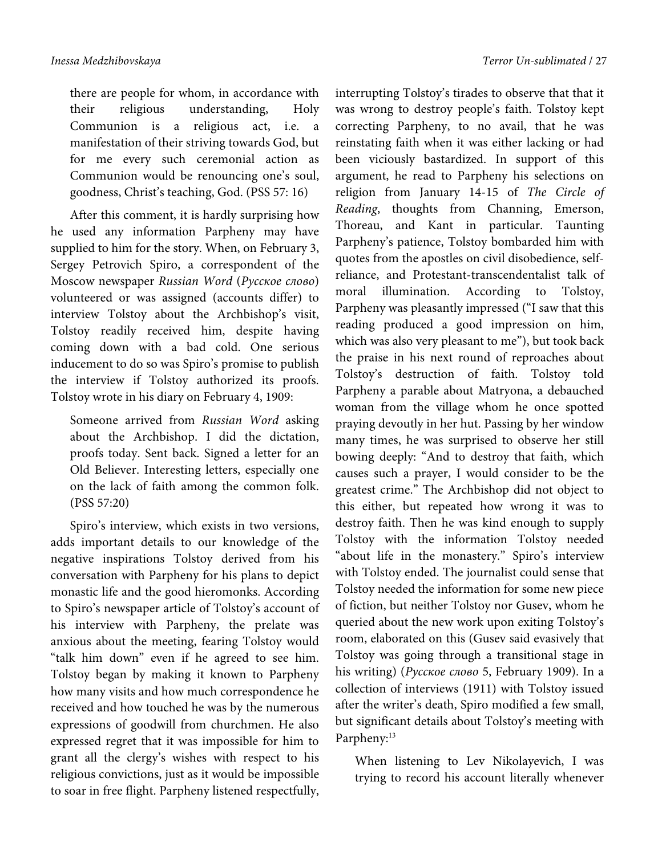there are people for whom, in accordance with their religious understanding, Holy Communion is a religious act, i.e. a manifestation of their striving towards God, but

for me every such ceremonial action as Communion would be renouncing one's soul, goodness, Christ's teaching, God. (PSS 57: 16)

After this comment, it is hardly surprising how he used any information Parpheny may have supplied to him for the story. When, on February 3, Sergey Petrovich Spiro, a correspondent of the Moscow newspaper Russian Word (Русское слово) volunteered or was assigned (accounts differ) to interview Tolstoy about the Archbishop's visit, Tolstoy readily received him, despite having coming down with a bad cold. One serious inducement to do so was Spiro's promise to publish the interview if Tolstoy authorized its proofs. Tolstoy wrote in his diary on February 4, 1909:

Someone arrived from Russian Word asking about the Archbishop. I did the dictation, proofs today. Sent back. Signed a letter for an Old Believer. Interesting letters, especially one on the lack of faith among the common folk. (PSS 57:20)

Spiro's interview, which exists in two versions, adds important details to our knowledge of the negative inspirations Tolstoy derived from his conversation with Parpheny for his plans to depict monastic life and the good hieromonks. According to Spiro's newspaper article of Tolstoy's account of his interview with Parpheny, the prelate was anxious about the meeting, fearing Tolstoy would "talk him down" even if he agreed to see him. Tolstoy began by making it known to Parpheny how many visits and how much correspondence he received and how touched he was by the numerous expressions of goodwill from churchmen. He also expressed regret that it was impossible for him to grant all the clergy's wishes with respect to his religious convictions, just as it would be impossible to soar in free flight. Parpheny listened respectfully,

interrupting Tolstoy's tirades to observe that that it was wrong to destroy people's faith. Tolstoy kept correcting Parpheny, to no avail, that he was reinstating faith when it was either lacking or had been viciously bastardized. In support of this argument, he read to Parpheny his selections on religion from January 14-15 of The Circle of Reading, thoughts from Channing, Emerson, Thoreau, and Kant in particular. Taunting Parpheny's patience, Tolstoy bombarded him with quotes from the apostles on civil disobedience, selfreliance, and Protestant-transcendentalist talk of moral illumination. According to Tolstoy, Parpheny was pleasantly impressed ("I saw that this reading produced a good impression on him, which was also very pleasant to me"), but took back the praise in his next round of reproaches about Tolstoy's destruction of faith. Tolstoy told Parpheny a parable about Matryona, a debauched woman from the village whom he once spotted praying devoutly in her hut. Passing by her window many times, he was surprised to observe her still bowing deeply: "And to destroy that faith, which causes such a prayer, I would consider to be the greatest crime." The Archbishop did not object to this either, but repeated how wrong it was to destroy faith. Then he was kind enough to supply Tolstoy with the information Tolstoy needed "about life in the monastery." Spiro's interview with Tolstoy ended. The journalist could sense that Tolstoy needed the information for some new piece of fiction, but neither Tolstoy nor Gusev, whom he queried about the new work upon exiting Tolstoy's room, elaborated on this (Gusev said evasively that Tolstoy was going through a transitional stage in his writing) (Русское слово 5, February 1909). In a collection of interviews (1911) with Tolstoy issued after the writer's death, Spiro modified a few small, but significant details about Tolstoy's meeting with Parpheny:<sup>13</sup>

When listening to Lev Nikolayevich, I was trying to record his account literally whenever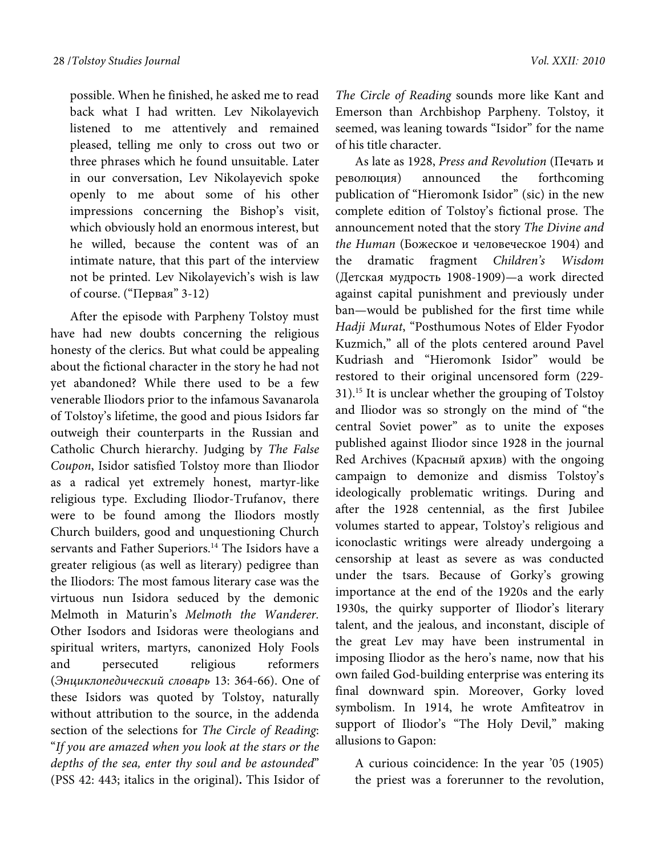possible. When he finished, he asked me to read back what I had written. Lev Nikolayevich listened to me attentively and remained pleased, telling me only to cross out two or three phrases which he found unsuitable. Later in our conversation, Lev Nikolayevich spoke openly to me about some of his other impressions concerning the Bishop's visit, which obviously hold an enormous interest, but he willed, because the content was of an intimate nature, that this part of the interview not be printed. Lev Nikolayevich's wish is law of course. ("Первая" 3-12)

After the episode with Parpheny Tolstoy must have had new doubts concerning the religious honesty of the clerics. But what could be appealing about the fictional character in the story he had not yet abandoned? While there used to be a few venerable Iliodors prior to the infamous Savanarola of Tolstoy's lifetime, the good and pious Isidors far outweigh their counterparts in the Russian and Catholic Church hierarchy. Judging by The False Coupon, Isidor satisfied Tolstoy more than Iliodor as a radical yet extremely honest, martyr-like religious type. Excluding Iliodor-Trufanov, there were to be found among the Iliodors mostly Church builders, good and unquestioning Church servants and Father Superiors.<sup>14</sup> The Isidors have a greater religious (as well as literary) pedigree than the Iliodors: The most famous literary case was the virtuous nun Isidora seduced by the demonic Melmoth in Maturin's Melmoth the Wanderer. Other Isodors and Isidoras were theologians and spiritual writers, martyrs, canonized Holy Fools and persecuted religious reformers (Энциклопедический словарь 13: 364-66). One of these Isidors was quoted by Tolstoy, naturally without attribution to the source, in the addenda section of the selections for The Circle of Reading: "If you are amazed when you look at the stars or the depths of the sea, enter thy soul and be astounded" (PSS 42: 443; italics in the original)**.** This Isidor of

The Circle of Reading sounds more like Kant and Emerson than Archbishop Parpheny. Tolstoy, it seemed, was leaning towards "Isidor" for the name of his title character.

As late as 1928, Press and Revolution (Печать и революция) announced the forthcoming publication of "Hieromonk Isidor" (sic) in the new complete edition of Tolstoy's fictional prose. The announcement noted that the story The Divine and the Human (Божеское и человеческое 1904) and the dramatic fragment Children's Wisdom (Детская мудрость 1908-1909)—a work directed against capital punishment and previously under ban—would be published for the first time while Hadji Murat, "Posthumous Notes of Elder Fyodor Kuzmich," all of the plots centered around Pavel Kudriash and "Hieromonk Isidor" would be restored to their original uncensored form (229- 31).15 It is unclear whether the grouping of Tolstoy and Iliodor was so strongly on the mind of "the central Soviet power" as to unite the exposes published against Iliodor since 1928 in the journal Red Archives (Красный архив) with the ongoing campaign to demonize and dismiss Tolstoy's ideologically problematic writings. During and after the 1928 centennial, as the first Jubilee volumes started to appear, Tolstoy's religious and iconoclastic writings were already undergoing a censorship at least as severe as was conducted under the tsars. Because of Gorky's growing importance at the end of the 1920s and the early 1930s, the quirky supporter of Iliodor's literary talent, and the jealous, and inconstant, disciple of the great Lev may have been instrumental in imposing Iliodor as the hero's name, now that his own failed God-building enterprise was entering its final downward spin. Moreover, Gorky loved symbolism. In 1914, he wrote Amfiteatrov in support of Iliodor's "The Holy Devil," making allusions to Gapon:

A curious coincidence: In the year '05 (1905) the priest was a forerunner to the revolution,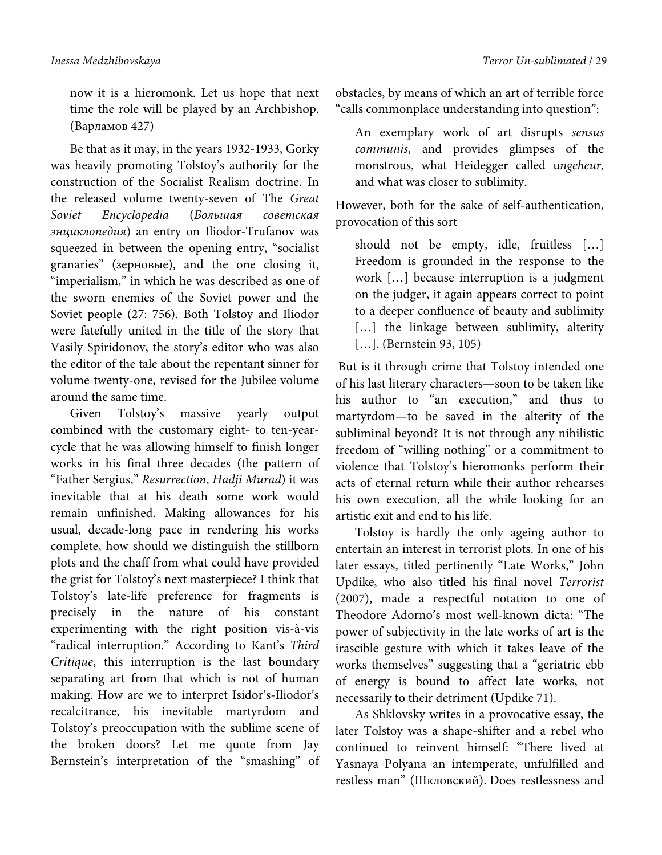now it is a hieromonk. Let us hope that next time the role will be played by an Archbishop. (Варламов 427)

Be that as it may, in the years 1932-1933, Gorky was heavily promoting Tolstoy's authority for the construction of the Socialist Realism doctrine. In the released volume twenty-seven of The Great Soviet Encyclopedia (Большая советская энциклопедия) an entry on Iliodor-Trufanov was squeezed in between the opening entry, "socialist granaries" (зерновые), and the one closing it, "imperialism," in which he was described as one of the sworn enemies of the Soviet power and the Soviet people (27: 756). Both Tolstoy and Iliodor were fatefully united in the title of the story that Vasily Spiridonov, the story's editor who was also the editor of the tale about the repentant sinner for volume twenty-one, revised for the Jubilee volume around the same time.

Given Tolstoy's massive yearly output combined with the customary eight- to ten-yearcycle that he was allowing himself to finish longer works in his final three decades (the pattern of "Father Sergius," Resurrection, Hadji Murad) it was inevitable that at his death some work would remain unfinished. Making allowances for his usual, decade-long pace in rendering his works complete, how should we distinguish the stillborn plots and the chaff from what could have provided the grist for Tolstoy's next masterpiece? I think that Tolstoy's late-life preference for fragments is precisely in the nature of his constant experimenting with the right position vis-à-vis "radical interruption." According to Kant's Third Critique, this interruption is the last boundary separating art from that which is not of human making. How are we to interpret Isidor's-Iliodor's recalcitrance, his inevitable martyrdom and Tolstoy's preoccupation with the sublime scene of the broken doors? Let me quote from Jay Bernstein's interpretation of the "smashing" of obstacles, by means of which an art of terrible force "calls commonplace understanding into question":

An exemplary work of art disrupts sensus communis, and provides glimpses of the monstrous, what Heidegger called ungeheur, and what was closer to sublimity.

However, both for the sake of self-authentication, provocation of this sort

should not be empty, idle, fruitless […] Freedom is grounded in the response to the work […] because interruption is a judgment on the judger, it again appears correct to point to a deeper confluence of beauty and sublimity [...] the linkage between sublimity, alterity [...]. (Bernstein 93, 105)

 But is it through crime that Tolstoy intended one of his last literary characters—soon to be taken like his author to "an execution," and thus to martyrdom—to be saved in the alterity of the subliminal beyond? It is not through any nihilistic freedom of "willing nothing" or a commitment to violence that Tolstoy's hieromonks perform their acts of eternal return while their author rehearses his own execution, all the while looking for an artistic exit and end to his life.

Tolstoy is hardly the only ageing author to entertain an interest in terrorist plots. In one of his later essays, titled pertinently "Late Works," John Updike, who also titled his final novel Terrorist (2007), made a respectful notation to one of Theodore Adorno's most well-known dicta: "The power of subjectivity in the late works of art is the irascible gesture with which it takes leave of the works themselves" suggesting that a "geriatric ebb of energy is bound to affect late works, not necessarily to their detriment (Updike 71).

As Shklovsky writes in a provocative essay, the later Tolstoy was a shape-shifter and a rebel who continued to reinvent himself: "There lived at Yasnaya Polyana an intemperate, unfulfilled and restless man" (Шкловский). Does restlessness and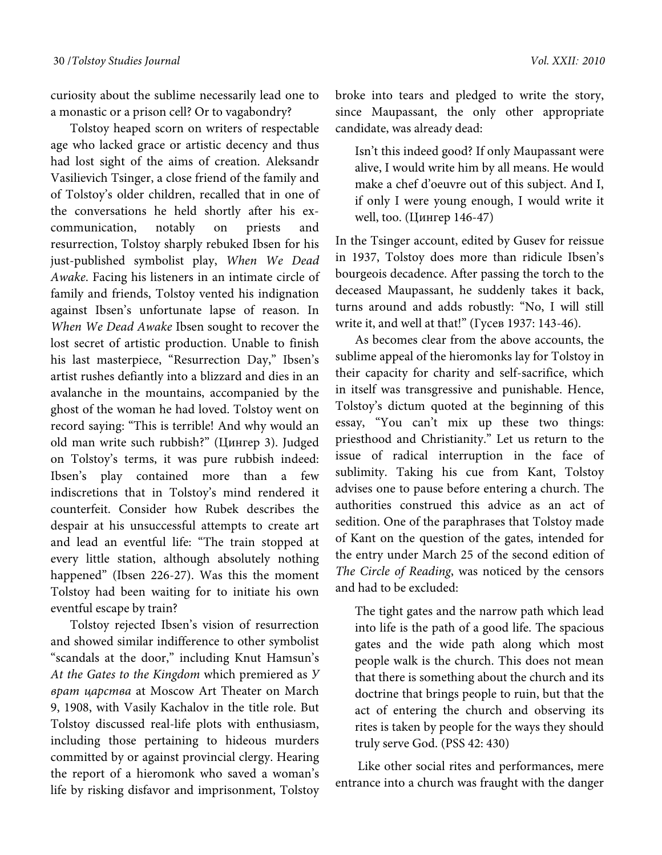curiosity about the sublime necessarily lead one to a monastic or a prison cell? Or to vagabondry?

Tolstoy heaped scorn on writers of respectable age who lacked grace or artistic decency and thus had lost sight of the aims of creation. Aleksandr Vasilievich Tsinger, a close friend of the family and of Tolstoy's older children, recalled that in one of the conversations he held shortly after his excommunication, notably on priests and resurrection, Tolstoy sharply rebuked Ibsen for his just-published symbolist play, When We Dead Awake. Facing his listeners in an intimate circle of family and friends, Tolstoy vented his indignation against Ibsen's unfortunate lapse of reason. In When We Dead Awake Ibsen sought to recover the lost secret of artistic production. Unable to finish his last masterpiece, "Resurrection Day," Ibsen's artist rushes defiantly into a blizzard and dies in an avalanche in the mountains, accompanied by the ghost of the woman he had loved. Tolstoy went on record saying: "This is terrible! And why would an old man write such rubbish?" (Цингер 3). Judged on Tolstoy's terms, it was pure rubbish indeed: Ibsen's play contained more than a few indiscretions that in Tolstoy's mind rendered it counterfeit. Consider how Rubek describes the despair at his unsuccessful attempts to create art and lead an eventful life: "The train stopped at every little station, although absolutely nothing happened" (Ibsen 226-27). Was this the moment Tolstoy had been waiting for to initiate his own eventful escape by train?

Tolstoy rejected Ibsen's vision of resurrection and showed similar indifference to other symbolist "scandals at the door," including Knut Hamsun's At the Gates to the Kingdom which premiered as **y** врат царства at Moscow Art Theater on March 9, 1908, with Vasily Kachalov in the title role. But Tolstoy discussed real-life plots with enthusiasm, including those pertaining to hideous murders committed by or against provincial clergy. Hearing the report of a hieromonk who saved a woman's life by risking disfavor and imprisonment, Tolstoy

broke into tears and pledged to write the story, since Maupassant, the only other appropriate candidate, was already dead:

Isn't this indeed good? If only Maupassant were alive, I would write him by all means. He would make a chef d'oeuvre out of this subject. And I, if only I were young enough, I would write it well, too. (Цингер 146-47)

In the Tsinger account, edited by Gusev for reissue in 1937, Tolstoy does more than ridicule Ibsen's bourgeois decadence. After passing the torch to the deceased Maupassant, he suddenly takes it back, turns around and adds robustly: "No, I will still write it, and well at that!" (Гусев 1937: 143-46).

As becomes clear from the above accounts, the sublime appeal of the hieromonks lay for Tolstoy in their capacity for charity and self-sacrifice, which in itself was transgressive and punishable. Hence, Tolstoy's dictum quoted at the beginning of this essay, "You can't mix up these two things: priesthood and Christianity." Let us return to the issue of radical interruption in the face of sublimity. Taking his cue from Kant, Tolstoy advises one to pause before entering a church. The authorities construed this advice as an act of sedition. One of the paraphrases that Tolstoy made of Kant on the question of the gates, intended for the entry under March 25 of the second edition of The Circle of Reading, was noticed by the censors and had to be excluded:

The tight gates and the narrow path which lead into life is the path of a good life. The spacious gates and the wide path along which most people walk is the church. This does not mean that there is something about the church and its doctrine that brings people to ruin, but that the act of entering the church and observing its rites is taken by people for the ways they should truly serve God. (PSS 42: 430)

 Like other social rites and performances, mere entrance into a church was fraught with the danger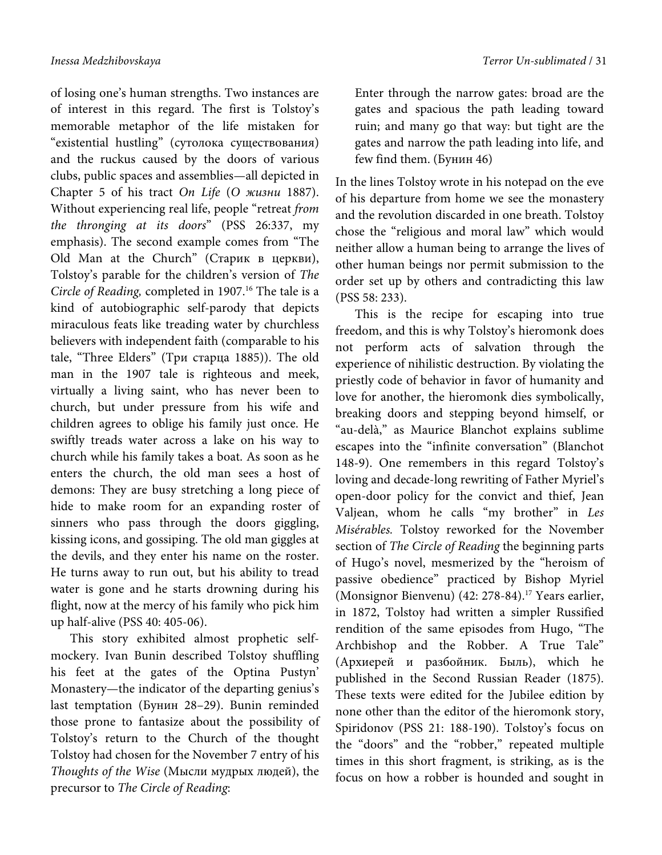of losing one's human strengths. Two instances are of interest in this regard. The first is Tolstoy's memorable metaphor of the life mistaken for "existential hustling" (сутолока существования) and the ruckus caused by the doors of various clubs, public spaces and assemblies—all depicted in Chapter 5 of his tract On Life (О жизни 1887). Without experiencing real life, people "retreat from the thronging at its doors" (PSS 26:337, my emphasis). The second example comes from "The Old Man at the Church" (Старик в церкви), Tolstoy's parable for the children's version of The Circle of Reading, completed in 1907.<sup>16</sup> The tale is a kind of autobiographic self-parody that depicts miraculous feats like treading water by churchless believers with independent faith (comparable to his tale, "Three Elders" (Три старца 1885)). The old man in the 1907 tale is righteous and meek, virtually a living saint, who has never been to church, but under pressure from his wife and children agrees to oblige his family just once. He swiftly treads water across a lake on his way to church while his family takes a boat. As soon as he enters the church, the old man sees a host of demons: They are busy stretching a long piece of hide to make room for an expanding roster of sinners who pass through the doors giggling, kissing icons, and gossiping. The old man giggles at the devils, and they enter his name on the roster. He turns away to run out, but his ability to tread water is gone and he starts drowning during his flight, now at the mercy of his family who pick him up half-alive (PSS 40: 405-06).

This story exhibited almost prophetic selfmockery. Ivan Bunin described Tolstoy shuffling his feet at the gates of the Optina Pustyn' Monastery—the indicator of the departing genius's last temptation (Бунин 28–29). Bunin reminded those prone to fantasize about the possibility of Tolstoy's return to the Church of the thought Tolstoy had chosen for the November 7 entry of his Thoughts of the Wise (Мысли мудрых людей), the precursor to The Circle of Reading:

Enter through the narrow gates: broad are the gates and spacious the path leading toward ruin; and many go that way: but tight are the gates and narrow the path leading into life, and few find them. (Бунин 46)

In the lines Tolstoy wrote in his notepad on the eve of his departure from home we see the monastery and the revolution discarded in one breath. Tolstoy chose the "religious and moral law" which would neither allow a human being to arrange the lives of other human beings nor permit submission to the order set up by others and contradicting this law (PSS 58: 233).

This is the recipe for escaping into true freedom, and this is why Tolstoy's hieromonk does not perform acts of salvation through the experience of nihilistic destruction. By violating the priestly code of behavior in favor of humanity and love for another, the hieromonk dies symbolically, breaking doors and stepping beyond himself, or "au-delà," as Maurice Blanchot explains sublime escapes into the "infinite conversation" (Blanchot 148-9). One remembers in this regard Tolstoy's loving and decade-long rewriting of Father Myriel's open-door policy for the convict and thief, Jean Valjean, whom he calls "my brother" in Les Misérables. Tolstoy reworked for the November section of The Circle of Reading the beginning parts of Hugo's novel, mesmerized by the "heroism of passive obedience" practiced by Bishop Myriel (Monsignor Bienvenu) (42: 278-84).<sup>17</sup> Years earlier, in 1872, Tolstoy had written a simpler Russified rendition of the same episodes from Hugo, "The Archbishop and the Robber. A True Tale" (Архиерей и разбойник. Быль), which he published in the Second Russian Reader (1875). These texts were edited for the Jubilee edition by none other than the editor of the hieromonk story, Spiridonov (PSS 21: 188-190). Tolstoy's focus on the "doors" and the "robber," repeated multiple times in this short fragment, is striking, as is the focus on how a robber is hounded and sought in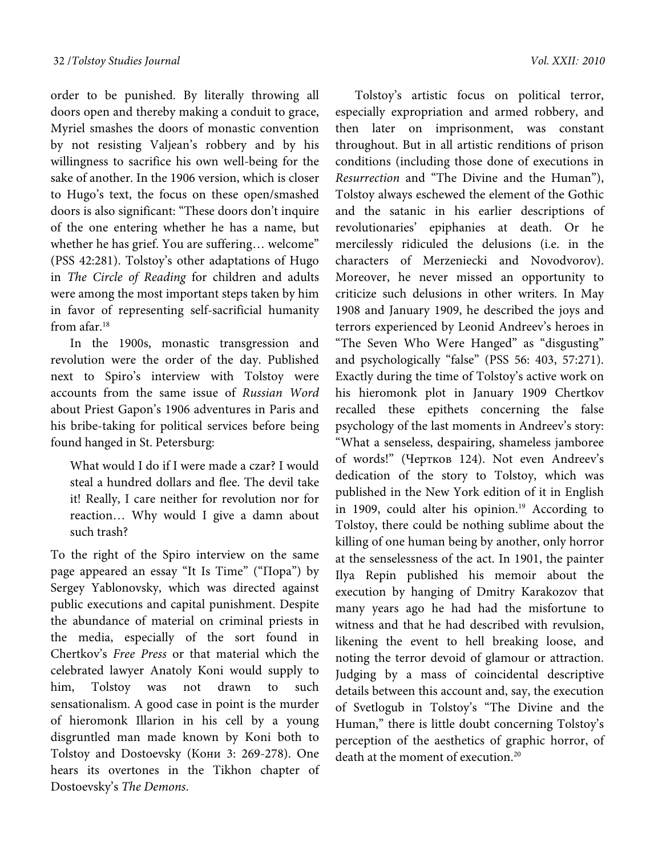order to be punished. By literally throwing all doors open and thereby making a conduit to grace, Myriel smashes the doors of monastic convention by not resisting Valjean's robbery and by his willingness to sacrifice his own well-being for the sake of another. In the 1906 version, which is closer to Hugo's text, the focus on these open/smashed doors is also significant: "These doors don't inquire of the one entering whether he has a name, but whether he has grief. You are suffering… welcome" (PSS 42:281). Tolstoy's other adaptations of Hugo in The Circle of Reading for children and adults were among the most important steps taken by him in favor of representing self-sacrificial humanity from afar.18

In the 1900s, monastic transgression and revolution were the order of the day. Published next to Spiro's interview with Tolstoy were accounts from the same issue of Russian Word about Priest Gapon's 1906 adventures in Paris and his bribe-taking for political services before being found hanged in St. Petersburg:

What would I do if I were made a czar? I would steal a hundred dollars and flee. The devil take it! Really, I care neither for revolution nor for reaction… Why would I give a damn about such trash?

To the right of the Spiro interview on the same page appeared an essay "It Is Time" ("Пора") by Sergey Yablonovsky, which was directed against public executions and capital punishment. Despite the abundance of material on criminal priests in the media, especially of the sort found in Chertkov's Free Press or that material which the celebrated lawyer Anatoly Koni would supply to him, Tolstoy was not drawn to such sensationalism. A good case in point is the murder of hieromonk Illarion in his cell by a young disgruntled man made known by Koni both to Tolstoy and Dostoevsky (Кони 3: 269-278). One hears its overtones in the Tikhon chapter of Dostoevsky's The Demons.

Tolstoy's artistic focus on political terror, especially expropriation and armed robbery, and then later on imprisonment, was constant throughout. But in all artistic renditions of prison conditions (including those done of executions in Resurrection and "The Divine and the Human"), Tolstoy always eschewed the element of the Gothic and the satanic in his earlier descriptions of revolutionaries' epiphanies at death. Or he mercilessly ridiculed the delusions (i.e. in the characters of Merzeniecki and Novodvorov). Moreover, he never missed an opportunity to criticize such delusions in other writers. In May 1908 and January 1909, he described the joys and terrors experienced by Leonid Andreev's heroes in "The Seven Who Were Hanged" as "disgusting" and psychologically "false" (PSS 56: 403, 57:271). Exactly during the time of Tolstoy's active work on his hieromonk plot in January 1909 Chertkov recalled these epithets concerning the false psychology of the last moments in Andreev's story: "What a senseless, despairing, shameless jamboree of words!" (Чертков 124). Not even Andreev's dedication of the story to Tolstoy, which was published in the New York edition of it in English in 1909, could alter his opinion.<sup>19</sup> According to Tolstoy, there could be nothing sublime about the killing of one human being by another, only horror at the senselessness of the act. In 1901, the painter Ilya Repin published his memoir about the execution by hanging of Dmitry Karakozov that many years ago he had had the misfortune to witness and that he had described with revulsion, likening the event to hell breaking loose, and noting the terror devoid of glamour or attraction. Judging by a mass of coincidental descriptive details between this account and, say, the execution of Svetlogub in Tolstoy's "The Divine and the Human," there is little doubt concerning Tolstoy's perception of the aesthetics of graphic horror, of death at the moment of execution.<sup>20</sup>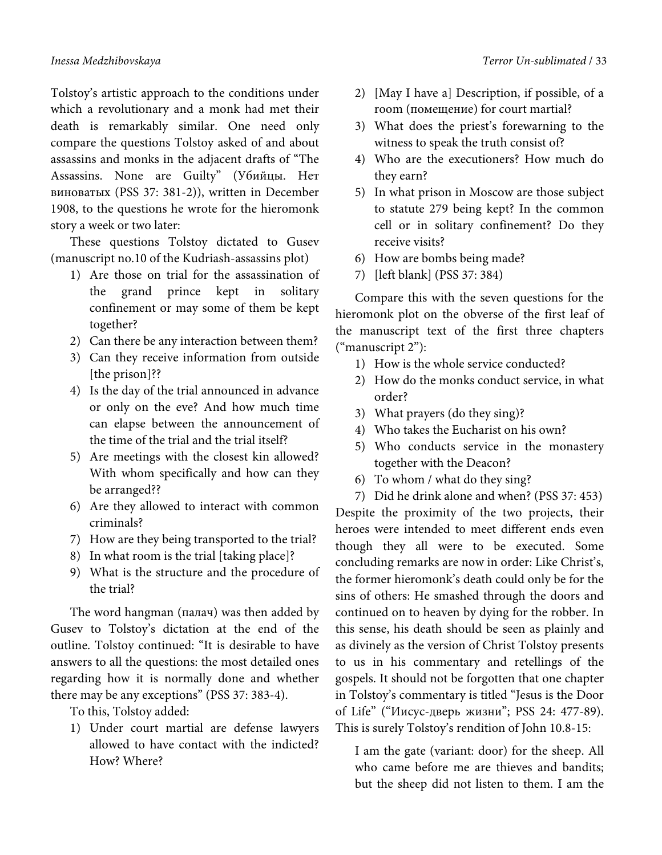Tolstoy's artistic approach to the conditions under which a revolutionary and a monk had met their death is remarkably similar. One need only compare the questions Tolstoy asked of and about assassins and monks in the adjacent drafts of "The Assassins. None are Guilty" (Убийцы. Нет виноватых (PSS 37: 381-2)), written in December 1908, to the questions he wrote for the hieromonk story a week or two later:

These questions Tolstoy dictated to Gusev (manuscript no.10 of the Kudriash-assassins plot)

- 1) Are those on trial for the assassination of the grand prince kept in solitary confinement or may some of them be kept together?
- 2) Can there be any interaction between them?
- 3) Can they receive information from outside [the prison]??
- 4) Is the day of the trial announced in advance or only on the eve? And how much time can elapse between the announcement of the time of the trial and the trial itself?
- 5) Are meetings with the closest kin allowed? With whom specifically and how can they be arranged??
- 6) Are they allowed to interact with common criminals?
- 7) How are they being transported to the trial?
- 8) In what room is the trial [taking place]?
- 9) What is the structure and the procedure of the trial?

The word hangman (палач) was then added by Gusev to Tolstoy's dictation at the end of the outline. Tolstoy continued: "It is desirable to have answers to all the questions: the most detailed ones regarding how it is normally done and whether there may be any exceptions" (PSS 37: 383-4).

To this, Tolstoy added:

1) Under court martial are defense lawyers allowed to have contact with the indicted? How? Where?

- 2) [May I have a] Description, if possible, of a room (помещение) for court martial?
- 3) What does the priest's forewarning to the witness to speak the truth consist of?
- 4) Who are the executioners? How much do they earn?
- 5) In what prison in Moscow are those subject to statute 279 being kept? In the common cell or in solitary confinement? Do they receive visits?
- 6) How are bombs being made?
- 7) [left blank] (PSS 37: 384)

Compare this with the seven questions for the hieromonk plot on the obverse of the first leaf of the manuscript text of the first three chapters ("manuscript 2"):

- 1) How is the whole service conducted?
- 2) How do the monks conduct service, in what order?
- 3) What prayers (do they sing)?
- 4) Who takes the Eucharist on his own?
- 5) Who conducts service in the monastery together with the Deacon?
- 6) To whom / what do they sing?
- 7) Did he drink alone and when? (PSS 37: 453)

Despite the proximity of the two projects, their heroes were intended to meet different ends even though they all were to be executed. Some concluding remarks are now in order: Like Christ's, the former hieromonk's death could only be for the sins of others: He smashed through the doors and continued on to heaven by dying for the robber. In this sense, his death should be seen as plainly and as divinely as the version of Christ Tolstoy presents to us in his commentary and retellings of the gospels. It should not be forgotten that one chapter in Tolstoy's commentary is titled "Jesus is the Door of Life" ("Иисус-дверь жизни"; PSS 24: 477-89). This is surely Tolstoy's rendition of John 10.8-15:

I am the gate (variant: door) for the sheep. All who came before me are thieves and bandits; but the sheep did not listen to them. I am the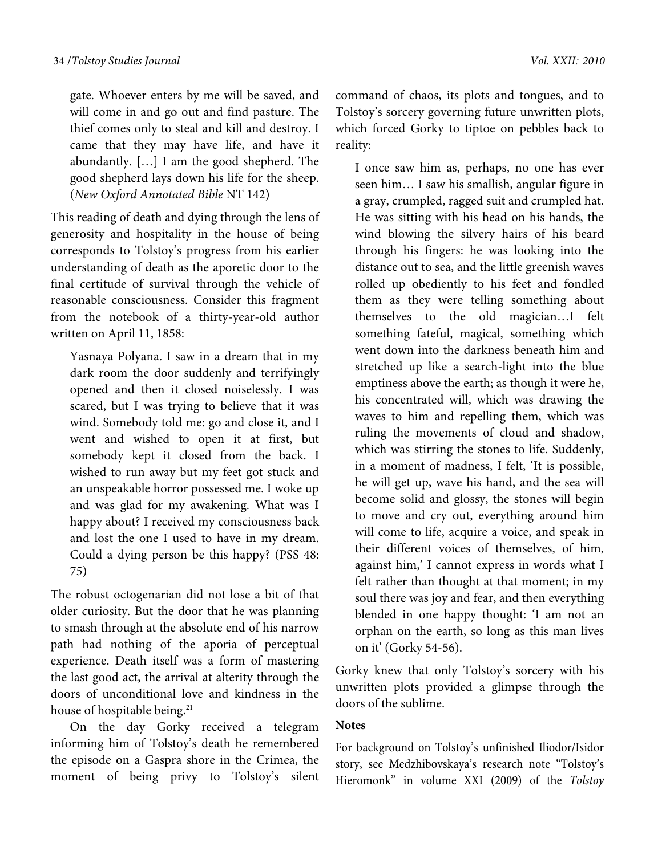gate. Whoever enters by me will be saved, and will come in and go out and find pasture. The thief comes only to steal and kill and destroy. I came that they may have life, and have it abundantly. […] I am the good shepherd. The good shepherd lays down his life for the sheep. (New Oxford Annotated Bible NT 142)

This reading of death and dying through the lens of generosity and hospitality in the house of being corresponds to Tolstoy's progress from his earlier understanding of death as the aporetic door to the final certitude of survival through the vehicle of reasonable consciousness. Consider this fragment from the notebook of a thirty-year-old author written on April 11, 1858:

Yasnaya Polyana. I saw in a dream that in my dark room the door suddenly and terrifyingly opened and then it closed noiselessly. I was scared, but I was trying to believe that it was wind. Somebody told me: go and close it, and I went and wished to open it at first, but somebody kept it closed from the back. I wished to run away but my feet got stuck and an unspeakable horror possessed me. I woke up and was glad for my awakening. What was I happy about? I received my consciousness back and lost the one I used to have in my dream. Could a dying person be this happy? (PSS 48: 75)

The robust octogenarian did not lose a bit of that older curiosity. But the door that he was planning to smash through at the absolute end of his narrow path had nothing of the aporia of perceptual experience. Death itself was a form of mastering the last good act, the arrival at alterity through the doors of unconditional love and kindness in the house of hospitable being.<sup>21</sup>

On the day Gorky received a telegram informing him of Tolstoy's death he remembered the episode on a Gaspra shore in the Crimea, the moment of being privy to Tolstoy's silent command of chaos, its plots and tongues, and to Tolstoy's sorcery governing future unwritten plots, which forced Gorky to tiptoe on pebbles back to reality:

I once saw him as, perhaps, no one has ever seen him… I saw his smallish, angular figure in a gray, crumpled, ragged suit and crumpled hat. He was sitting with his head on his hands, the wind blowing the silvery hairs of his beard through his fingers: he was looking into the distance out to sea, and the little greenish waves rolled up obediently to his feet and fondled them as they were telling something about themselves to the old magician…I felt something fateful, magical, something which went down into the darkness beneath him and stretched up like a search-light into the blue emptiness above the earth; as though it were he, his concentrated will, which was drawing the waves to him and repelling them, which was ruling the movements of cloud and shadow, which was stirring the stones to life. Suddenly, in a moment of madness, I felt, 'It is possible, he will get up, wave his hand, and the sea will become solid and glossy, the stones will begin to move and cry out, everything around him will come to life, acquire a voice, and speak in their different voices of themselves, of him, against him,' I cannot express in words what I felt rather than thought at that moment; in my soul there was joy and fear, and then everything blended in one happy thought: 'I am not an orphan on the earth, so long as this man lives on it' (Gorky 54-56).

Gorky knew that only Tolstoy's sorcery with his unwritten plots provided a glimpse through the doors of the sublime.

## **Notes**

For background on Tolstoy's unfinished Iliodor/Isidor story, see Medzhibovskaya's research note "Tolstoy's Hieromonk" in volume XXI (2009) of the *Tolstoy*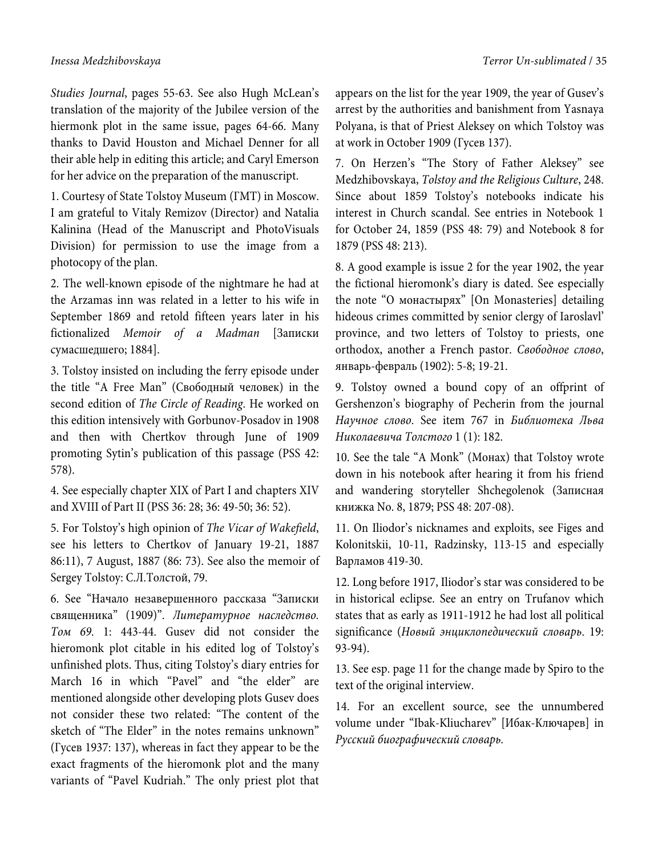*Studies Journal*, pages 55-63. See also Hugh McLean's translation of the majority of the Jubilee version of the hiermonk plot in the same issue, pages 64-66. Many thanks to David Houston and Michael Denner for all their able help in editing this article; and Caryl Emerson for her advice on the preparation of the manuscript.

1. Courtesy of State Tolstoy Museum (ГМТ) in Moscow. I am grateful to Vitaly Remizov (Director) and Natalia Kalinina (Head of the Manuscript and PhotoVisuals Division) for permission to use the image from a photocopy of the plan.

2. The well-known episode of the nightmare he had at the Arzamas inn was related in a letter to his wife in September 1869 and retold fifteen years later in his fictionalized *Memoir of a Madman* [Записки сумасшедшего; 1884].

3. Tolstoy insisted on including the ferry episode under the title "A Free Man" (Свободный человек) in the second edition of *The Circle of Reading*. He worked on this edition intensively with Gorbunov-Posadov in 1908 and then with Chertkov through June of 1909 promoting Sytin's publication of this passage (PSS 42: 578).

4. See especially chapter XIX of Part I and chapters XIV and XVIII of Part II (PSS 36: 28; 36: 49-50; 36: 52).

5. For Tolstoy's high opinion of *The Vicar of Wakefield*, see his letters to Chertkov of January 19-21, 1887 86:11), 7 August, 1887 (86: 73). See also the memoir of Sergey Tolstoy: С.Л.Толстой, 79.

6. See "Начало незавершенного рассказа "Записки священника" (1909)". *Литературное наследство. Том 69.* 1: 443-44. Gusev did not consider the hieromonk plot citable in his edited log of Tolstoy's unfinished plots. Thus, citing Tolstoy's diary entries for March 16 in which "Pavel" and "the elder" are mentioned alongside other developing plots Gusev does not consider these two related: "The content of the sketch of "The Elder" in the notes remains unknown" (Гусев 1937: 137), whereas in fact they appear to be the exact fragments of the hieromonk plot and the many variants of "Pavel Kudriah." The only priest plot that

appears on the list for the year 1909, the year of Gusev's arrest by the authorities and banishment from Yasnaya Polyana, is that of Priest Aleksey on which Tolstoy was at work in October 1909 (Гусев 137).

7. On Herzen's "The Story of Father Aleksey" see Medzhibovskaya, *Tolstoy and the Religious Culture*, 248. Since about 1859 Tolstoy's notebooks indicate his interest in Church scandal. See entries in Notebook 1 for October 24, 1859 (PSS 48: 79) and Notebook 8 for 1879 (PSS 48: 213).

8. A good example is issue 2 for the year 1902, the year the fictional hieromonk's diary is dated. See especially the note "О монастырях" [On Monasteries] detailing hideous crimes committed by senior clergy of Iaroslavl' province, and two letters of Tolstoy to priests, one orthodox, another a French pastor. *Свободное слово*, январь-февраль (1902): 5-8; 19-21.

9. Tolstoy owned a bound copy of an offprint of Gershenzon's biography of Pecherin from the journal *Научное слово*. See item 767 in *Библиотека Льва Николаевича Толстого* 1 (1): 182.

10. See the tale "A Monk" (Монах) that Tolstoy wrote down in his notebook after hearing it from his friend and wandering storyteller Shchegolenok (Записная книжка No. 8, 1879; PSS 48: 207-08).

11. On Iliodor's nicknames and exploits, see Figes and Kolonitskii, 10-11, Radzinsky, 113-15 and especially Варламов 419-30.

12. Long before 1917, Iliodor's star was considered to be in historical eclipse. See an entry on Trufanov which states that as early as 1911-1912 he had lost all political significance (*Новый энциклопедический словарь*. 19: 93-94).

13. See esp. page 11 for the change made by Spiro to the text of the original interview.

14. For an excellent source, see the unnumbered volume under "Ibak-Kliucharev" [Ибак-Ключарев] in *Русский биографический словарь.*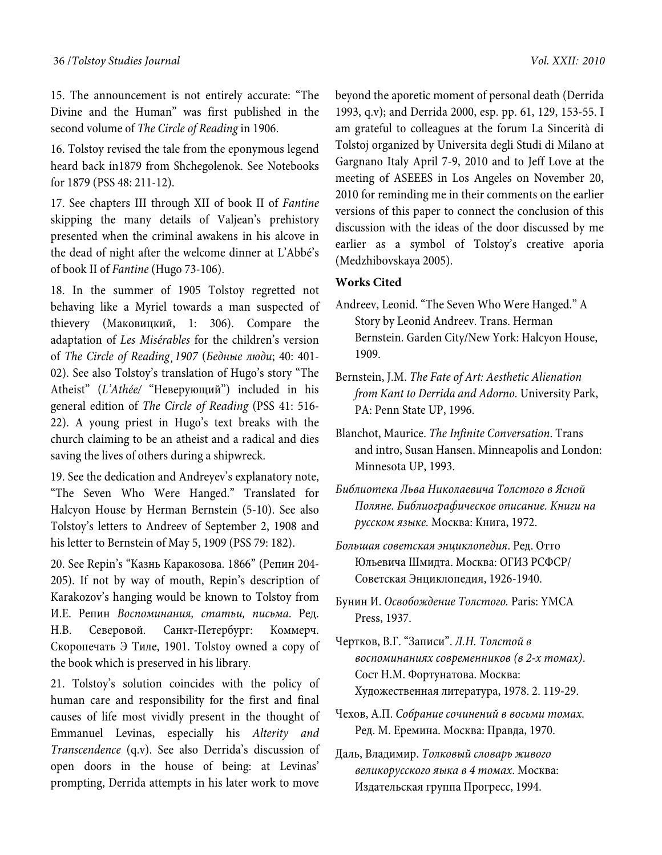15. The announcement is not entirely accurate: "The Divine and the Human" was first published in the second volume of *The Circle of Reading* in 1906.

16. Tolstoy revised the tale from the eponymous legend heard back in1879 from Shchegolenok. See Notebooks for 1879 (PSS 48: 211-12).

17. See chapters III through XII of book II of *Fantine* skipping the many details of Valjean's prehistory presented when the criminal awakens in his alcove in the dead of night after the welcome dinner at L'Abbé's of book II of *Fantine* (Hugo 73-106).

18. In the summer of 1905 Tolstoy regretted not behaving like a Myriel towards a man suspected of thievery (Маковицкий, 1: 306). Compare the adaptation of *Les Misérables* for the children's version of *The Circle of Reading¸1907* (*Бедные люди*; 40: 401- 02). See also Tolstoy's translation of Hugo's story "The Atheist" (*L'Athée/* "Неверующий") included in his general edition of *The Circle of Reading* (PSS 41: 516- 22). A young priest in Hugo's text breaks with the church claiming to be an atheist and a radical and dies saving the lives of others during a shipwreck.

19. See the dedication and Andreyev's explanatory note, "The Seven Who Were Hanged." Translated for Halcyon House by Herman Bernstein (5-10). See also Tolstoy's letters to Andreev of September 2, 1908 and his letter to Bernstein of May 5, 1909 (PSS 79: 182).

20. See Repin's "Казнь Каракозова. 1866" (Репин 204- 205). If not by way of mouth, Repin's description of Karakozov's hanging would be known to Tolstoy from И.Е. Репин *Воспоминания, статьи, письма*. Ред. Н.В. Северовой. Санкт-Петербург: Коммерч. Скоропечать Э Тиле, 1901. Tolstoy owned a copy of the book which is preserved in his library.

21. Tolstoy's solution coincides with the policy of human care and responsibility for the first and final causes of life most vividly present in the thought of Emmanuel Levinas, especially his *Alterity and Transcendence* (q.v). See also Derrida's discussion of open doors in the house of being: at Levinas' prompting, Derrida attempts in his later work to move

beyond the aporetic moment of personal death (Derrida 1993, q.v); and Derrida 2000, esp. pp. 61, 129, 153-55. I am grateful to colleagues at the forum La Sincerità di Tolstoj organized by Universita degli Studi di Milano at Gargnano Italy April 7-9, 2010 and to Jeff Love at the meeting of ASEEES in Los Angeles on November 20, 2010 for reminding me in their comments on the earlier versions of this paper to connect the conclusion of this discussion with the ideas of the door discussed by me earlier as a symbol of Tolstoy's creative aporia (Medzhibovskaya 2005).

### **Works Cited**

- Andreev, Leonid. "The Seven Who Were Hanged." A Story by Leonid Andreev. Trans. Herman Bernstein. Garden City/New York: Halcyon House, 1909.
- Bernstein, J.M. *The Fate of Art: Aesthetic Alienation from Kant to Derrida and Adorno.* University Park, PA: Penn State UP, 1996.
- Blanchot, Maurice. *The Infinite Conversation*. Trans and intro, Susan Hansen. Minneapolis and London: Minnesota UP, 1993.
- *Библиотека Льва Николаевича Толстого в Ясной Поляне. Библиографическое описание. Книги на русском языке.* Москва: Книга, 1972.
- *Большая советская энциклопедия*. Ред. Отто Юльевича Шмидта. Москва: ОГИЗ РСФСР/ Советская Энциклопедия, 1926-1940.
- Бунин И. *Освобождение Толстого.* Paris: YMCA Press, 1937.
- Чертков, В.Г. "Записи". *Л.Н. Толстой в воспоминаниях современников (в 2-х томах)*. Сост Н.М. Фортунатова. Москва: Художественная литература, 1978. 2. 119-29.
- Чехов, A.П. *Собрание сочинений в восьми томах.* Ред. М. Еремина. Москва: Правда, 1970.
- Даль, Владимир. *Толковый словарь живого великорусского яыка в 4 томах*. Москва: Издательская группа Прогресс, 1994.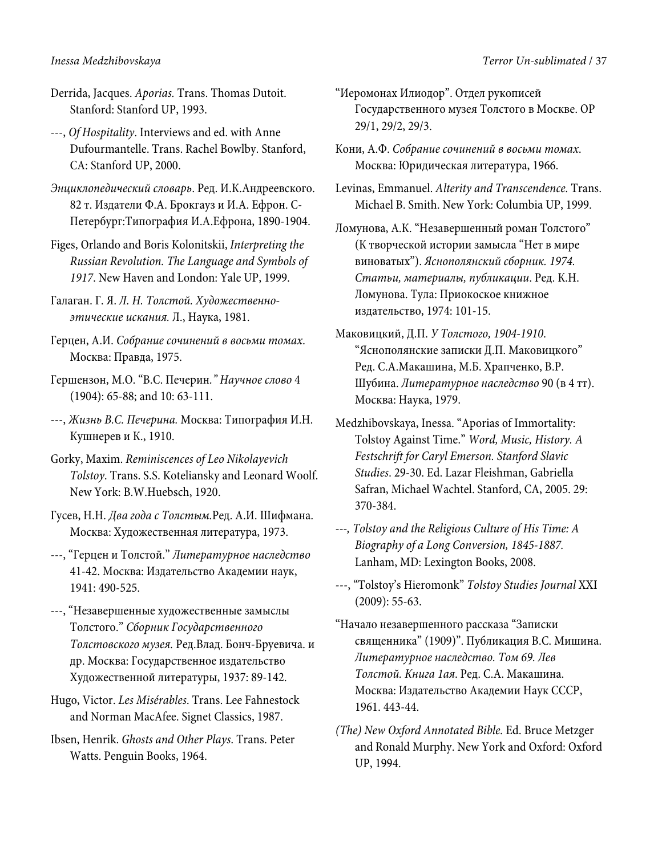Derrida, Jacques. *Aporias.* Trans. Thomas Dutoit. Stanford: Stanford UP, 1993.

---, *Of Hospitality*. Interviews and ed. with Anne Dufourmantelle. Trans. Rachel Bowlby. Stanford, CA: Stanford UP, 2000.

*Энциклопедический словарь*. Ред. И.К.Андреевского. 82 т. Издатели Ф.А. Брокгауз и И.А. Ефрон. С-Петербург:Типография И.А.Ефрона, 1890-1904.

Figes, Orlando and Boris Kolonitskii, *Interpreting the Russian Revolution. The Language and Symbols of 1917*. New Haven and London: Yale UP, 1999.

Галаган. Г. Я. *Л. Н. Толстой. Художественноэтические искания.* Л., Наука, 1981.

Герцен, А.И. *Собрание сочинений в восьми томах*. Москва: Правда, 1975.

Гершензон, М.О. "В.С. Печерин*." Научное слово* 4 (1904): 65-88; and 10: 63-111.

---, *Жизнь В.С. Печерина.* Москва: Типография И.Н. Кушнерев и К., 1910.

Gorky, Maxim. *Reminiscences of Leo Nikolayevich Tolstoy*. Trans. S.S. Koteliansky and Leonard Woolf. New York: B.W.Huebsch, 1920.

Гусев, Н.Н. *Два года с Толстым.*Ред. А.И. Шифмана. Москва: Художественная литература, 1973.

---, "Герцен и Толстой." *Литературное наследство*  41-42. Москва: Издательство Академии наук, 1941: 490-525.

---, "Незавершенные художественные замыслы Толстого." *Сборник Государственного Толстовского музея.* Ред.Влад. Бонч-Бруевича. и др. Москва: Государственное издательство Художественной литературы, 1937: 89-142.

Hugo, Victor. *Les Misérables*. Trans. Lee Fahnestock and Norman MacAfee. Signet Classics, 1987.

Ibsen, Henrik. *Ghosts and Other Plays*. Trans. Peter Watts. Penguin Books, 1964.

"Иеромонах Илиодор". Отдел рукописей Государственного музея Толстого в Москве. ОР 29/1, 29/2, 29/3.

Кони, А.Ф. *Собрание сочинений в восьми томах*. Москва: Юридическая литература, 1966.

Levinas, Emmanuel. *Alterity and Transcendence.* Trans. Michael B. Smith. New York: Columbia UP, 1999.

Ломунова, А.К. "Незавершенный роман Толстого" (К творческой истории замысла "Нет в мире виноватых"). *Яснополянский сборник. 1974. Статьи, материалы, публикации*. Ред. К.Н. Ломунова. Тула: Приокоское книжное издательство, 1974: 101-15.

Маковицкий, Д.П. *У Толстого, 1904-1910*. "Яснополянские записки Д.П. Маковицкого" Ред. С.А.Макашина, М.Б. Храпченко, В.Р. Шубина. *Литературное наследство* 90 (в 4 тт). Москва: Наука, 1979.

Medzhibovskaya, Inessa. "Aporias of Immortality: Tolstoy Against Time." *Word, Music, History. A Festschrift for Caryl Emerson. Stanford Slavic Studies*. 29-30. Ed. Lazar Fleishman, Gabriella Safran, Michael Wachtel. Stanford, CA, 2005. 29: 370-384.

*---, Tolstoy and the Religious Culture of His Time: A Biography of a Long Conversion, 1845-1887.* Lanham, MD: Lexington Books, 2008.

---, "Tolstoy's Hieromonk" *Tolstoy Studies Journal* XXI (2009): 55-63.

"Начало незавершенного рассказа "Записки священника" (1909)". Публикация В.С. Мишина. *Литературное наследство. Том 69. Лев Толстой. Книга 1ая*. Ред. С.А. Макашина. Москва: Издательство Академии Наук СССР, 1961. 443-44.

*(The) New Oxford Annotated Bible.* Ed. Bruce Metzger and Ronald Murphy. New York and Oxford: Oxford UP, 1994.